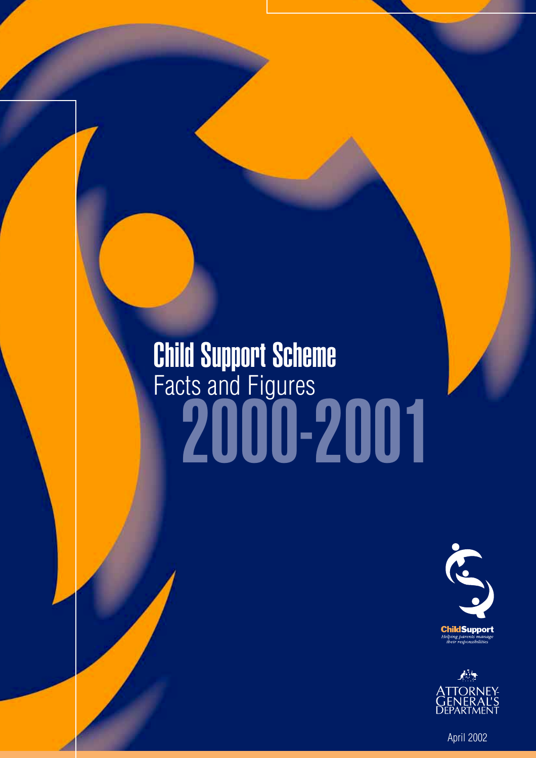## 2000-2001 Child Support Scheme Facts and Figures





April 2002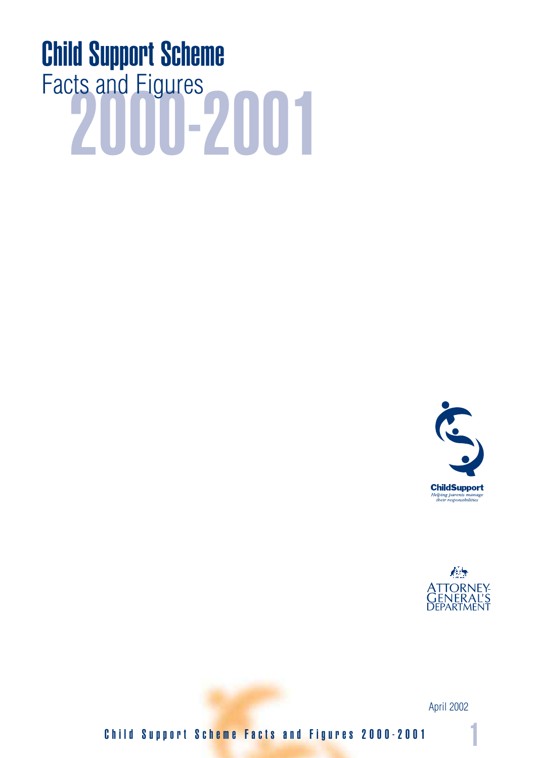# Facts and Figures<br>2000-2001 Child Support Scheme





April 2002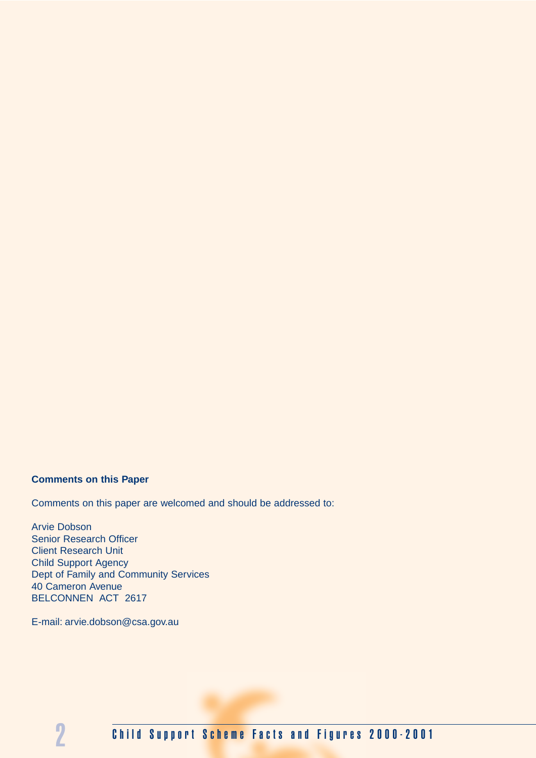#### **Comments on this Paper**

Comments on this paper are welcomed and should be addressed to:

Arvie Dobson Senior Research Officer Client Research Unit Child Support Agency Dept of Family and Community Services 40 Cameron Avenue BELCONNEN ACT 2617

E-mail: arvie.dobson@csa.gov.au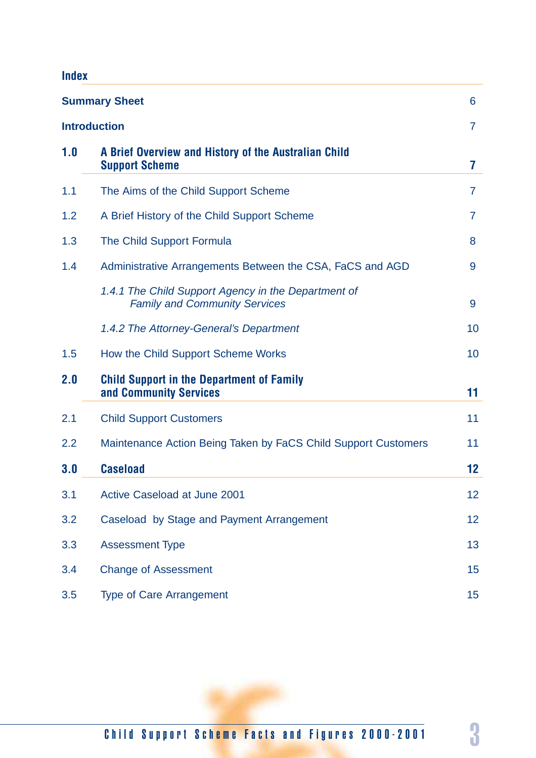### **Index**

|                     | <b>Summary Sheet</b>                                                                        | 6              |
|---------------------|---------------------------------------------------------------------------------------------|----------------|
| <b>Introduction</b> |                                                                                             | $\overline{7}$ |
| 1.0                 | A Brief Overview and History of the Australian Child<br><b>Support Scheme</b>               | 7              |
| 1.1                 | The Aims of the Child Support Scheme                                                        | $\overline{7}$ |
| 1.2                 | A Brief History of the Child Support Scheme                                                 | 7              |
| 1.3                 | The Child Support Formula                                                                   | 8              |
| 1.4                 | Administrative Arrangements Between the CSA, FaCS and AGD                                   | 9              |
|                     | 1.4.1 The Child Support Agency in the Department of<br><b>Family and Community Services</b> | 9              |
|                     | 1.4.2 The Attorney-General's Department                                                     | 10             |
| 1.5                 | How the Child Support Scheme Works                                                          | 10             |
| 2.0                 | <b>Child Support in the Department of Family</b><br>and Community Services                  | 11             |
| 2.1                 | <b>Child Support Customers</b>                                                              | 11             |
| 2.2                 | Maintenance Action Being Taken by FaCS Child Support Customers                              | 11             |
| 3.0                 | <b>Caseload</b>                                                                             | 12             |
| 3.1                 | Active Caseload at June 2001                                                                | 12             |
| 3.2                 | Caseload by Stage and Payment Arrangement                                                   | 12             |
| 3.3                 | <b>Assessment Type</b>                                                                      | 13             |
| 3.4                 | <b>Change of Assessment</b>                                                                 | 15             |
| 3.5                 | <b>Type of Care Arrangement</b>                                                             | 15             |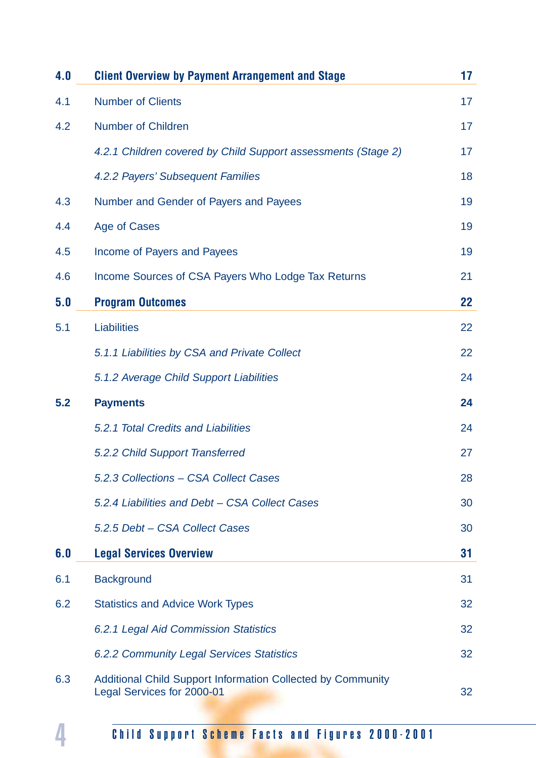| 4.0 | <b>Client Overview by Payment Arrangement and Stage</b>                                          | 17 |
|-----|--------------------------------------------------------------------------------------------------|----|
| 4.1 | <b>Number of Clients</b>                                                                         | 17 |
| 4.2 | <b>Number of Children</b>                                                                        | 17 |
|     | 4.2.1 Children covered by Child Support assessments (Stage 2)                                    | 17 |
|     | 4.2.2 Payers' Subsequent Families                                                                | 18 |
| 4.3 | Number and Gender of Payers and Payees                                                           | 19 |
| 4.4 | Age of Cases                                                                                     | 19 |
| 4.5 | Income of Payers and Payees                                                                      | 19 |
| 4.6 | Income Sources of CSA Payers Who Lodge Tax Returns                                               | 21 |
| 5.0 | <b>Program Outcomes</b>                                                                          | 22 |
| 5.1 | <b>Liabilities</b>                                                                               | 22 |
|     | 5.1.1 Liabilities by CSA and Private Collect                                                     | 22 |
|     | 5.1.2 Average Child Support Liabilities                                                          | 24 |
| 5.2 | <b>Payments</b>                                                                                  | 24 |
|     | 5.2.1 Total Credits and Liabilities                                                              | 24 |
|     | 5.2.2 Child Support Transferred                                                                  | 27 |
|     | 5.2.3 Collections - CSA Collect Cases                                                            | 28 |
|     | 5.2.4 Liabilities and Debt - CSA Collect Cases                                                   | 30 |
|     | 5.2.5 Debt - CSA Collect Cases                                                                   | 30 |
| 6.0 | <b>Legal Services Overview</b>                                                                   | 31 |
| 6.1 | <b>Background</b>                                                                                | 31 |
| 6.2 | <b>Statistics and Advice Work Types</b>                                                          | 32 |
|     | 6.2.1 Legal Aid Commission Statistics                                                            | 32 |
|     | <b>6.2.2 Community Legal Services Statistics</b>                                                 | 32 |
| 6.3 | <b>Additional Child Support Information Collected by Community</b><br>Legal Services for 2000-01 | 32 |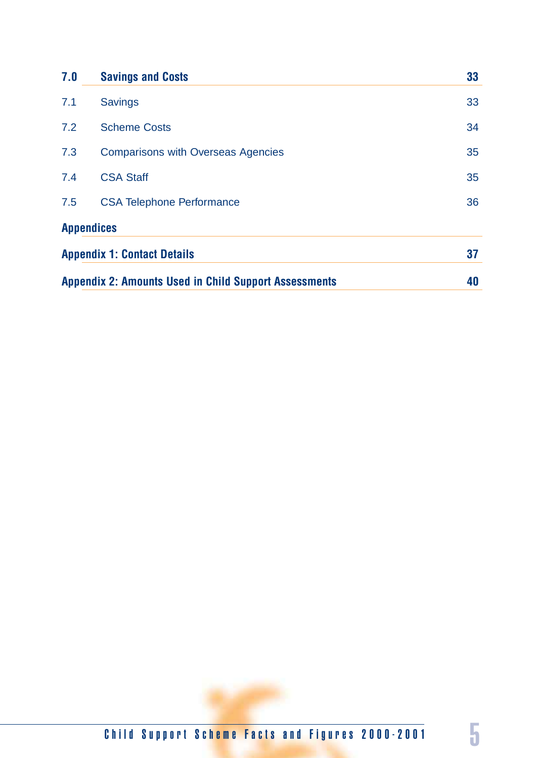| 7.0 | <b>Savings and Costs</b>                                     | 33 |
|-----|--------------------------------------------------------------|----|
| 7.1 | <b>Savings</b>                                               | 33 |
| 7.2 | <b>Scheme Costs</b>                                          | 34 |
| 7.3 | <b>Comparisons with Overseas Agencies</b>                    | 35 |
| 7.4 | <b>CSA Staff</b>                                             | 35 |
| 7.5 | <b>CSA Telephone Performance</b>                             | 36 |
|     | <b>Appendices</b>                                            |    |
|     | <b>Appendix 1: Contact Details</b>                           | 37 |
|     | <b>Appendix 2: Amounts Used in Child Support Assessments</b> | 40 |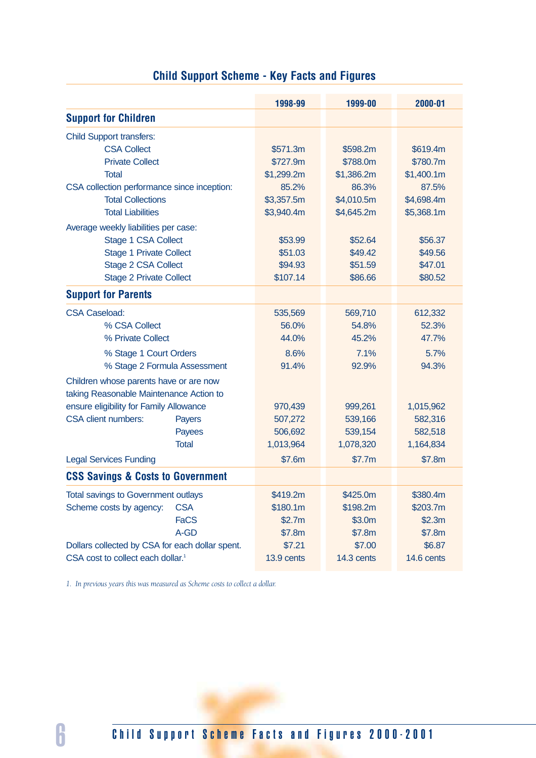|                                                 | 1998-99    | 1999-00    | 2000-01    |
|-------------------------------------------------|------------|------------|------------|
| <b>Support for Children</b>                     |            |            |            |
|                                                 |            |            |            |
| <b>Child Support transfers:</b>                 |            |            |            |
| <b>CSA Collect</b>                              | \$571.3m   | \$598.2m   | \$619.4m   |
| <b>Private Collect</b>                          | \$727.9m   | \$788.0m   | \$780.7m   |
| <b>Total</b>                                    | \$1,299.2m | \$1,386.2m | \$1,400.1m |
| CSA collection performance since inception:     | 85.2%      | 86.3%      | 87.5%      |
| <b>Total Collections</b>                        | \$3,357.5m | \$4,010.5m | \$4,698.4m |
| <b>Total Liabilities</b>                        | \$3,940.4m | \$4,645.2m | \$5,368.1m |
| Average weekly liabilities per case:            |            |            |            |
| Stage 1 CSA Collect                             | \$53.99    | \$52.64    | \$56.37    |
| <b>Stage 1 Private Collect</b>                  | \$51.03    | \$49.42    | \$49.56    |
| Stage 2 CSA Collect                             | \$94.93    | \$51.59    | \$47.01    |
| <b>Stage 2 Private Collect</b>                  | \$107.14   | \$86.66    | \$80.52    |
| <b>Support for Parents</b>                      |            |            |            |
| <b>CSA Caseload:</b>                            | 535,569    | 569,710    | 612,332    |
| % CSA Collect                                   | 56.0%      | 54.8%      | 52.3%      |
| % Private Collect                               | 44.0%      | 45.2%      | 47.7%      |
| % Stage 1 Court Orders                          | 8.6%       | 7.1%       | 5.7%       |
| % Stage 2 Formula Assessment                    | 91.4%      | 92.9%      | 94.3%      |
| Children whose parents have or are now          |            |            |            |
| taking Reasonable Maintenance Action to         |            |            |            |
| ensure eligibility for Family Allowance         | 970,439    | 999,261    | 1,015,962  |
| <b>CSA client numbers:</b><br>Payers            | 507,272    | 539,166    | 582,316    |
| Payees                                          | 506,692    | 539,154    | 582,518    |
| <b>Total</b>                                    | 1,013,964  | 1,078,320  | 1,164,834  |
| <b>Legal Services Funding</b>                   | \$7.6m     | \$7.7m     | \$7.8m     |
| <b>CSS Savings &amp; Costs to Government</b>    |            |            |            |
| Total savings to Government outlays             | \$419.2m   | \$425.0m   | \$380.4m   |
| <b>CSA</b><br>Scheme costs by agency:           | \$180.1m   | \$198.2m   | \$203.7m   |
| <b>FaCS</b>                                     | \$2.7m     | \$3.0m     | \$2.3m     |
| A-GD                                            | \$7.8m     | \$7.8m     | \$7.8m     |
| Dollars collected by CSA for each dollar spent. | \$7.21     | \$7.00     | \$6.87     |
| CSA cost to collect each dollar. <sup>1</sup>   | 13.9 cents | 14.3 cents | 14.6 cents |

### **Child Support Scheme - Key Facts and Figures**

*1. In previous years this was measured as Scheme costs to collect a dollar.*

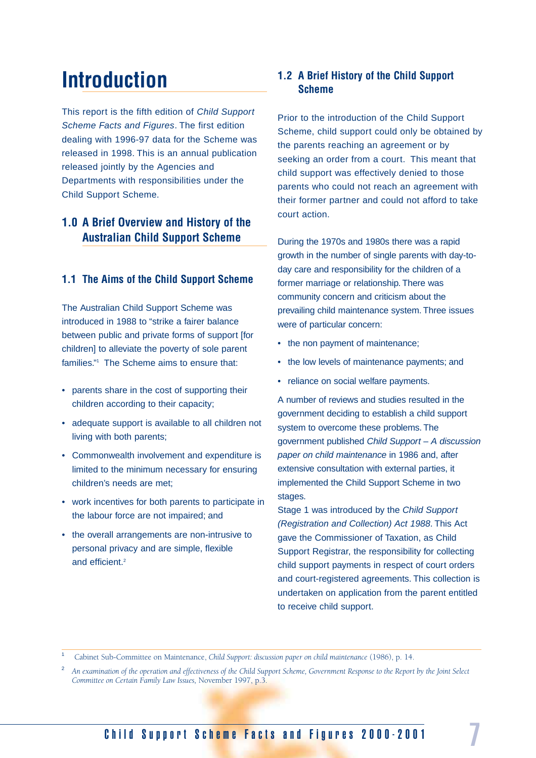## **Introduction**

This report is the fifth edition of Child Support Scheme Facts and Figures. The first edition dealing with 1996-97 data for the Scheme was released in 1998. This is an annual publication released jointly by the Agencies and Departments with responsibilities under the Child Support Scheme.

#### **1.0 A Brief Overview and History of the Australian Child Support Scheme**

#### **1.1 The Aims of the Child Support Scheme**

The Australian Child Support Scheme was introduced in 1988 to "strike a fairer balance between public and private forms of support [for children] to alleviate the poverty of sole parent families."<sup>1</sup> The Scheme aims to ensure that:

- parents share in the cost of supporting their children according to their capacity;
- adequate support is available to all children not living with both parents;
- Commonwealth involvement and expenditure is limited to the minimum necessary for ensuring children's needs are met;
- work incentives for both parents to participate in the labour force are not impaired; and
- the overall arrangements are non-intrusive to personal privacy and are simple, flexible and efficient.2

#### **1.2 A Brief History of the Child Support Scheme**

Prior to the introduction of the Child Support Scheme, child support could only be obtained by the parents reaching an agreement or by seeking an order from a court. This meant that child support was effectively denied to those parents who could not reach an agreement with their former partner and could not afford to take court action.

During the 1970s and 1980s there was a rapid growth in the number of single parents with day-today care and responsibility for the children of a former marriage or relationship. There was community concern and criticism about the prevailing child maintenance system. Three issues were of particular concern:

- the non payment of maintenance:
- the low levels of maintenance payments; and
- reliance on social welfare payments.

A number of reviews and studies resulted in the government deciding to establish a child support system to overcome these problems. The government published Child Support – A discussion paper on child maintenance in 1986 and, after extensive consultation with external parties, it implemented the Child Support Scheme in two stages.

Stage 1 was introduced by the Child Support (Registration and Collection) Act 1988. This Act gave the Commissioner of Taxation, as Child Support Registrar, the responsibility for collecting child support payments in respect of court orders and court-registered agreements. This collection is undertaken on application from the parent entitled to receive child support.

<sup>1</sup> Cabinet Sub-Committee on Maintenance, *Child Support: discussion paper on child maintenance* (1986), p. 14.

<sup>2</sup> *An examination of the operation and effectiveness of the Child Support Scheme, Government Response to the Report by the Joint Select Committee on Certain Family Law Issues,* November 1997, p.3.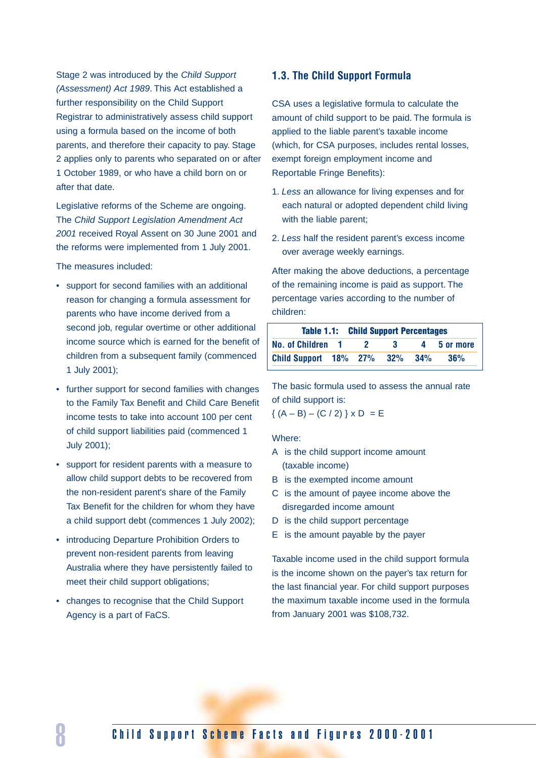Stage 2 was introduced by the Child Support (Assessment) Act 1989. This Act established a further responsibility on the Child Support Registrar to administratively assess child support using a formula based on the income of both parents, and therefore their capacity to pay. Stage 2 applies only to parents who separated on or after 1 October 1989, or who have a child born on or after that date.

Legislative reforms of the Scheme are ongoing. The Child Support Legislation Amendment Act 2001 received Royal Assent on 30 June 2001 and the reforms were implemented from 1 July 2001.

The measures included:

- support for second families with an additional reason for changing a formula assessment for parents who have income derived from a second job, regular overtime or other additional income source which is earned for the benefit of children from a subsequent family (commenced 1 July 2001);
- further support for second families with changes to the Family Tax Benefit and Child Care Benefit income tests to take into account 100 per cent of child support liabilities paid (commenced 1 July 2001);
- support for resident parents with a measure to allow child support debts to be recovered from the non-resident parent's share of the Family Tax Benefit for the children for whom they have a child support debt (commences 1 July 2002);
- introducing Departure Prohibition Orders to prevent non-resident parents from leaving Australia where they have persistently failed to meet their child support obligations;
- changes to recognise that the Child Support Agency is a part of FaCS.

#### **1.3. The Child Support Formula**

CSA uses a legislative formula to calculate the amount of child support to be paid. The formula is applied to the liable parent's taxable income (which, for CSA purposes, includes rental losses, exempt foreign employment income and Reportable Fringe Benefits):

- 1. Less an allowance for living expenses and for each natural or adopted dependent child living with the liable parent;
- 2. Less half the resident parent's excess income over average weekly earnings.

After making the above deductions, a percentage of the remaining income is paid as support. The percentage varies according to the number of children:

|                           | <b>Table 1.1: Child Support Percentages</b> |           |        |             |  |  |
|---------------------------|---------------------------------------------|-----------|--------|-------------|--|--|
| No. of Children 1         |                                             | $\sim$ 3. |        | 4 5 or more |  |  |
| Child Support 18% 27% 32% |                                             |           | $34\%$ | 36%         |  |  |

The basic formula used to assess the annual rate of child support is:

 ${(A - B) - (C / 2)}$   $\times D = E$ 

Where:

- A is the child support income amount (taxable income)
- B is the exempted income amount
- C is the amount of payee income above the disregarded income amount
- D is the child support percentage
- E is the amount payable by the payer

Taxable income used in the child support formula is the income shown on the payer's tax return for the last financial year. For child support purposes the maximum taxable income used in the formula from January 2001 was \$108,732.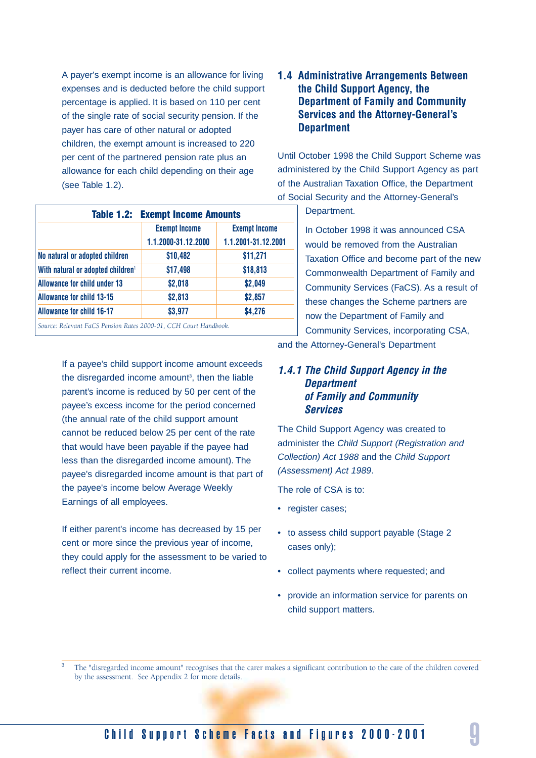A payer's exempt income is an allowance for living expenses and is deducted before the child support percentage is applied. It is based on 110 per cent of the single rate of social security pension. If the payer has care of other natural or adopted children, the exempt amount is increased to 220 per cent of the partnered pension rate plus an allowance for each child depending on their age (see Table 1.2).

| <b>Table 1.2: Exempt Income Amounts</b>       |                      |                      |  |  |  |  |  |
|-----------------------------------------------|----------------------|----------------------|--|--|--|--|--|
|                                               | <b>Exempt Income</b> | <b>Exempt Income</b> |  |  |  |  |  |
|                                               | 1.1.2000-31.12.2000  | 1.1.2001-31.12.2001  |  |  |  |  |  |
| No natural or adopted children                | \$10,482             | \$11,271             |  |  |  |  |  |
| With natural or adopted children <sup>1</sup> | \$17,498             | \$18,813             |  |  |  |  |  |
| <b>Allowance for child under 13</b>           | \$2,018              | \$2,049              |  |  |  |  |  |
| <b>Allowance for child 13-15</b>              | \$2,813              | \$2,857              |  |  |  |  |  |
| <b>Allowance for child 16-17</b>              | \$3,977              | \$4,276              |  |  |  |  |  |

If a payee's child support income amount exceeds the disregarded income amount<sup>3</sup>, then the liable parent's income is reduced by 50 per cent of the payee's excess income for the period concerned (the annual rate of the child support amount cannot be reduced below 25 per cent of the rate that would have been payable if the payee had less than the disregarded income amount). The payee's disregarded income amount is that part of the payee's income below Average Weekly Earnings of all employees.

If either parent's income has decreased by 15 per cent or more since the previous year of income, they could apply for the assessment to be varied to reflect their current income.

#### **1.4 Administrative Arrangements Between the Child Support Agency, the Department of Family and Community Services and the Attorney-General's Department**

Until October 1998 the Child Support Scheme was administered by the Child Support Agency as part of the Australian Taxation Office, the Department of Social Security and the Attorney-General's

Department.

In October 1998 it was announced CSA would be removed from the Australian Taxation Office and become part of the new Commonwealth Department of Family and Community Services (FaCS). As a result of these changes the Scheme partners are now the Department of Family and Community Services, incorporating CSA,

and the Attorney-General's Department

#### *1.4.1 The Child Support Agency in the Department of Family and Community Services*

The Child Support Agency was created to administer the Child Support (Registration and Collection) Act 1988 and the Child Support (Assessment) Act 1989.

The role of CSA is to:

- register cases;
- to assess child support payable (Stage 2 cases only);
- collect payments where requested; and
- provide an information service for parents on child support matters.

<sup>3</sup> The "disregarded income amount" recognises that the carer makes a significant contribution to the care of the children covered by the assessment. See Appendix 2 for more details.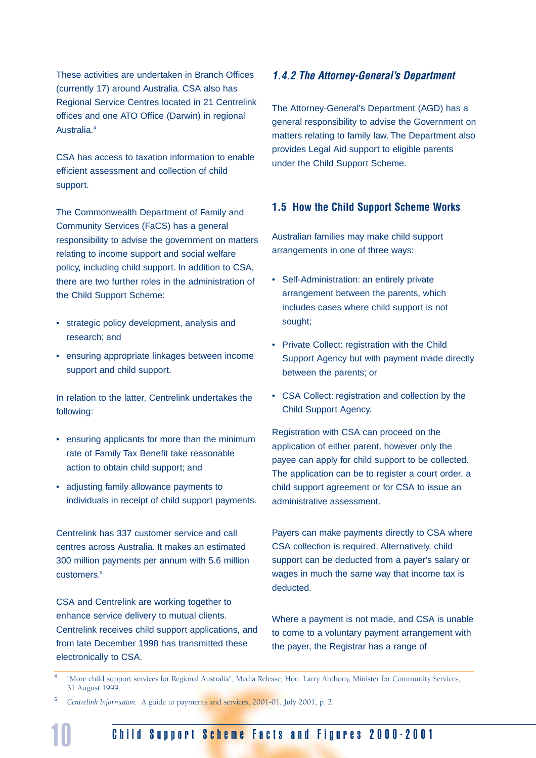These activities are undertaken in Branch Offices (currently 17) around Australia. CSA also has Regional Service Centres located in 21 Centrelink offices and one ATO Office (Darwin) in regional Australia.4

CSA has access to taxation information to enable efficient assessment and collection of child support.

The Commonwealth Department of Family and Community Services (FaCS) has a general responsibility to advise the government on matters relating to income support and social welfare policy, including child support. In addition to CSA, there are two further roles in the administration of the Child Support Scheme:

- strategic policy development, analysis and research; and
- ensuring appropriate linkages between income support and child support.

In relation to the latter, Centrelink undertakes the following:

- ensuring applicants for more than the minimum rate of Family Tax Benefit take reasonable action to obtain child support; and
- adjusting family allowance payments to individuals in receipt of child support payments.

Centrelink has 337 customer service and call centres across Australia. It makes an estimated 300 million payments per annum with 5.6 million customers.<sup>5</sup>

CSA and Centrelink are working together to enhance service delivery to mutual clients. Centrelink receives child support applications, and from late December 1998 has transmitted these electronically to CSA.

#### *1.4.2 The Attorney-General's Department*

The Attorney-General's Department (AGD) has a general responsibility to advise the Government on matters relating to family law. The Department also provides Legal Aid support to eligible parents under the Child Support Scheme.

#### **1.5 How the Child Support Scheme Works**

Australian families may make child support arrangements in one of three ways:

- Self-Administration: an entirely private arrangement between the parents, which includes cases where child support is not sought;
- Private Collect: registration with the Child Support Agency but with payment made directly between the parents; or
- CSA Collect: registration and collection by the Child Support Agency.

Registration with CSA can proceed on the application of either parent, however only the payee can apply for child support to be collected. The application can be to register a court order, a child support agreement or for CSA to issue an administrative assessment.

Payers can make payments directly to CSA where CSA collection is required. Alternatively, child support can be deducted from a payer's salary or wages in much the same way that income tax is deducted.

Where a payment is not made, and CSA is unable to come to a voluntary payment arrangement with the payer, the Registrar has a range of

- <sup>4</sup> "More child support services for Regional Australia", Media Release, Hon. Larry Anthony, Minister for Community Services, 31 August 1999.
- <sup>5</sup> *Centrelink Information.* A guide to payments and services, 2001-01, July 2001, p. 2.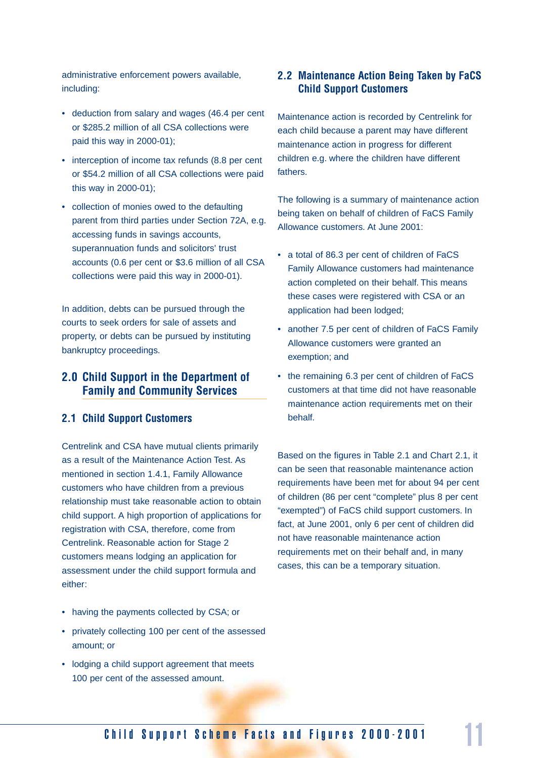administrative enforcement powers available, including:

- deduction from salary and wages (46.4 per cent or \$285.2 million of all CSA collections were paid this way in 2000-01);
- interception of income tax refunds (8.8 per cent or \$54.2 million of all CSA collections were paid this way in 2000-01);
- collection of monies owed to the defaulting parent from third parties under Section 72A, e.g. accessing funds in savings accounts, superannuation funds and solicitors' trust accounts (0.6 per cent or \$3.6 million of all CSA collections were paid this way in 2000-01).

In addition, debts can be pursued through the courts to seek orders for sale of assets and property, or debts can be pursued by instituting bankruptcy proceedings.

#### **2.0 Child Support in the Department of Family and Community Services**

#### **2.1 Child Support Customers**

Centrelink and CSA have mutual clients primarily as a result of the Maintenance Action Test. As mentioned in section 1.4.1, Family Allowance customers who have children from a previous relationship must take reasonable action to obtain child support. A high proportion of applications for registration with CSA, therefore, come from Centrelink. Reasonable action for Stage 2 customers means lodging an application for assessment under the child support formula and either:

- having the payments collected by CSA; or
- privately collecting 100 per cent of the assessed amount; or
- lodging a child support agreement that meets 100 per cent of the assessed amount.

#### **2.2 Maintenance Action Being Taken by FaCS Child Support Customers**

Maintenance action is recorded by Centrelink for each child because a parent may have different maintenance action in progress for different children e.g. where the children have different fathers.

The following is a summary of maintenance action being taken on behalf of children of FaCS Family Allowance customers. At June 2001:

- a total of 86.3 per cent of children of FaCS Family Allowance customers had maintenance action completed on their behalf. This means these cases were registered with CSA or an application had been lodged;
- another 7.5 per cent of children of FaCS Family Allowance customers were granted an exemption; and
- the remaining 6.3 per cent of children of FaCS customers at that time did not have reasonable maintenance action requirements met on their behalf.

Based on the figures in Table 2.1 and Chart 2.1, it can be seen that reasonable maintenance action requirements have been met for about 94 per cent of children (86 per cent "complete" plus 8 per cent "exempted") of FaCS child support customers. In fact, at June 2001, only 6 per cent of children did not have reasonable maintenance action requirements met on their behalf and, in many cases, this can be a temporary situation.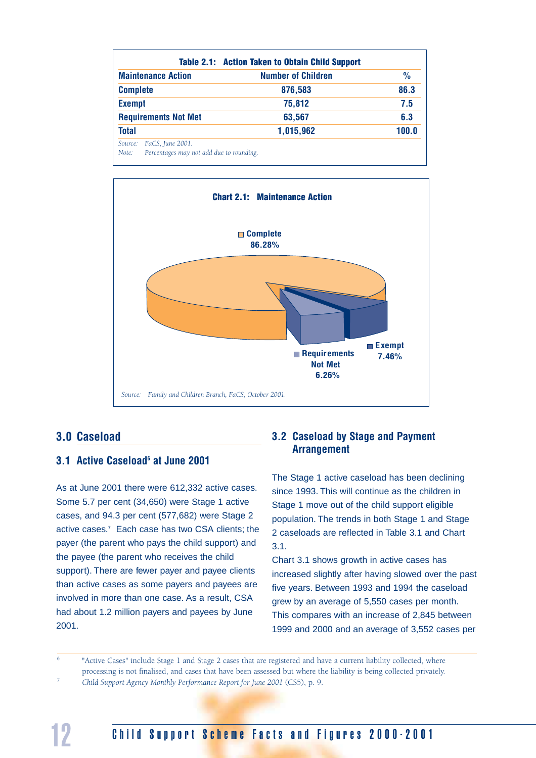|                                                                                  | <b>Table 2.1: Action Taken to Obtain Child Support</b> |               |
|----------------------------------------------------------------------------------|--------------------------------------------------------|---------------|
| <b>Maintenance Action</b>                                                        | <b>Number of Children</b>                              | $\frac{9}{6}$ |
| <b>Complete</b>                                                                  | 876,583                                                | 86.3          |
| <b>Exempt</b>                                                                    | 75,812                                                 | 7.5           |
| <b>Requirements Not Met</b>                                                      | 63,567                                                 | 6.3           |
| <b>Total</b>                                                                     | 1,015,962                                              | 100.0         |
| FaCS, June 2001.<br>Source:<br>Percentages may not add due to rounding.<br>Note: |                                                        |               |



#### **3.0 Caseload**

#### **3.1 Active Caseload6 at June 2001**

As at June 2001 there were 612,332 active cases. Some 5.7 per cent (34,650) were Stage 1 active cases, and 94.3 per cent (577,682) were Stage 2 active cases.7 Each case has two CSA clients; the payer (the parent who pays the child support) and the payee (the parent who receives the child support). There are fewer payer and payee clients than active cases as some payers and payees are involved in more than one case. As a result, CSA had about 1.2 million payers and payees by June 2001.

#### **3.2 Caseload by Stage and Payment Arrangement**

The Stage 1 active caseload has been declining since 1993. This will continue as the children in Stage 1 move out of the child support eligible population. The trends in both Stage 1 and Stage 2 caseloads are reflected in Table 3.1 and Chart 3.1.

Chart 3.1 shows growth in active cases has increased slightly after having slowed over the past five years. Between 1993 and 1994 the caseload grew by an average of 5,550 cases per month. This compares with an increase of 2,845 between 1999 and 2000 and an average of 3,552 cases per

"Active Cases" include Stage 1 and Stage 2 cases that are registered and have a current liability collected, where processing is not finalised, and cases that have been assessed but where the liability is being collected privately.

<sup>7</sup> *Child Support Agency Monthly Performance Report for June 2001* (CS5), p. 9.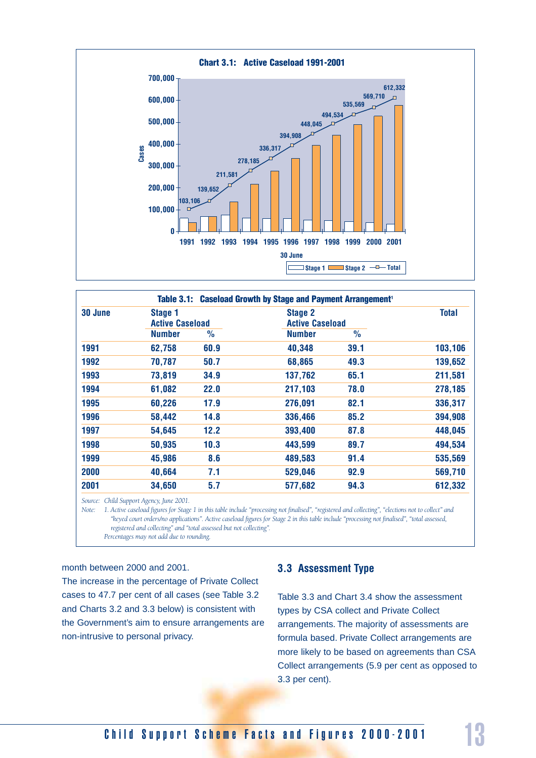

|         |                        |      | Table 3.1: Caseload Growth by Stage and Payment Arrangement <sup>1</sup> |               |              |
|---------|------------------------|------|--------------------------------------------------------------------------|---------------|--------------|
| 30 June | Stage 1                |      | <b>Stage 2</b>                                                           |               | <b>Total</b> |
|         | <b>Active Caseload</b> |      | <b>Active Caseload</b>                                                   |               |              |
|         | <b>Number</b>          | $\%$ | <b>Number</b>                                                            | $\frac{0}{0}$ |              |
| 1991    | 62,758                 | 60.9 | 40,348                                                                   | 39.1          | 103,106      |
| 1992    | 70,787                 | 50.7 | 68,865                                                                   | 49.3          | 139,652      |
| 1993    | 73,819                 | 34.9 | 137,762                                                                  | 65.1          | 211,581      |
| 1994    | 61,082                 | 22.0 | 217,103                                                                  | 78.0          | 278,185      |
| 1995    | 60,226                 | 17.9 | 276,091                                                                  | 82.1          | 336,317      |
| 1996    | 58,442                 | 14.8 | 336,466                                                                  | 85.2          | 394,908      |
| 1997    | 54,645                 | 12.2 | 393,400                                                                  | 87.8          | 448,045      |
| 1998    | 50,935                 | 10.3 | 443,599                                                                  | 89.7          | 494,534      |
| 1999    | 45,986                 | 8.6  | 489,583                                                                  | 91.4          | 535,569      |
| 2000    | 40,664                 | 7.1  | 529,046                                                                  | 92.9          | 569,710      |
| 2001    | 34,650                 | 5.7  | 577,682                                                                  | 94.3          | 612,332      |

*Source: Child Support Agency, June 2001.*

*Note: 1. Active caseload figures for Stage 1 in this table include "processing not finalised", "registered and collecting", "elections not to collect" and "keyed court orders/no applications". Active caseload figures for Stage 2 in this table include "processing not finalised", "total assessed, registered and collecting" and "total assessed but not collecting". Percentages may not add due to rounding.*

#### month between 2000 and 2001.

The increase in the percentage of Private Collect cases to 47.7 per cent of all cases (see Table 3.2 and Charts 3.2 and 3.3 below) is consistent with the Government's aim to ensure arrangements are non-intrusive to personal privacy.

#### **3.3 Assessment Type**

Table 3.3 and Chart 3.4 show the assessment types by CSA collect and Private Collect arrangements. The majority of assessments are formula based. Private Collect arrangements are more likely to be based on agreements than CSA Collect arrangements (5.9 per cent as opposed to 3.3 per cent).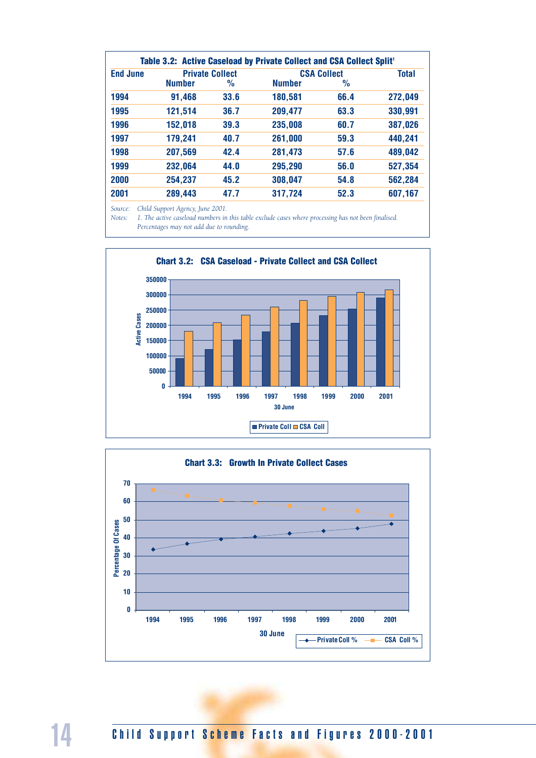|                 |               |                        | Table 3.2: Active Caseload by Private Collect and CSA Collect Split <sup>1</sup> |                    |              |
|-----------------|---------------|------------------------|----------------------------------------------------------------------------------|--------------------|--------------|
| <b>End June</b> |               | <b>Private Collect</b> |                                                                                  | <b>CSA Collect</b> | <b>Total</b> |
|                 | <b>Number</b> | $\frac{1}{2}$          | <b>Number</b>                                                                    | $\frac{0}{0}$      |              |
| 1994            | 91,468        | 33.6                   | 180,581                                                                          | 66.4               | 272,049      |
| 1995            | 121,514       | 36.7                   | 209,477                                                                          | 63.3               | 330,991      |
| 1996            | 152,018       | 39.3                   | 235,008                                                                          | 60.7               | 387,026      |
| 1997            | 179,241       | 40.7                   | 261,000                                                                          | 59.3               | 440,241      |
| 1998            | 207,569       | 42.4                   | 281,473                                                                          | 57.6               | 489,042      |
| 1999            | 232,064       | 44.0                   | 295,290                                                                          | 56.0               | 527,354      |
| 2000            | 254,237       | 45.2                   | 308,047                                                                          | 54.8               | 562,284      |
| 2001            | 289,443       | 47.7                   | 317,724                                                                          | 52.3               | 607,167      |

*Source: Child Support Agency, June 2001.*

*Notes: 1. The active caseload numbers in this table exclude cases where processing has not been finalised. Percentages may not add due to rounding.*



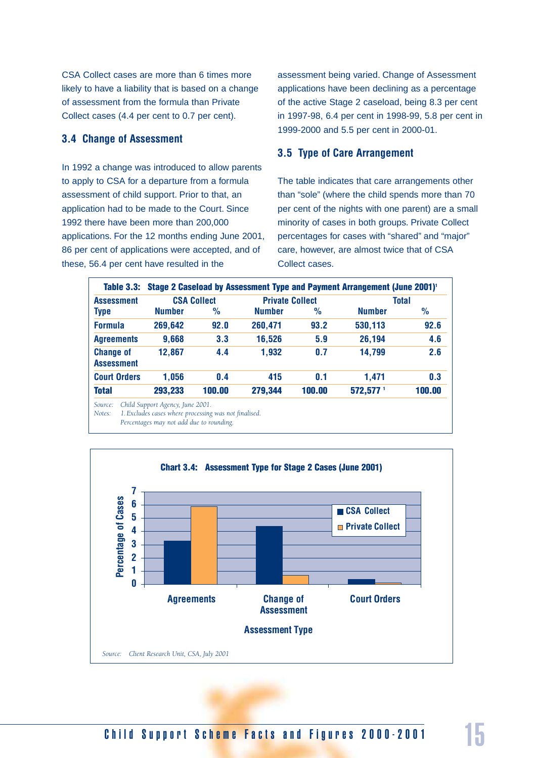CSA Collect cases are more than 6 times more likely to have a liability that is based on a change of assessment from the formula than Private Collect cases (4.4 per cent to 0.7 per cent).

#### **3.4 Change of Assessment**

In 1992 a change was introduced to allow parents to apply to CSA for a departure from a formula assessment of child support. Prior to that, an application had to be made to the Court. Since 1992 there have been more than 200,000 applications. For the 12 months ending June 2001, 86 per cent of applications were accepted, and of these, 56.4 per cent have resulted in the

assessment being varied. Change of Assessment applications have been declining as a percentage of the active Stage 2 caseload, being 8.3 per cent in 1997-98, 6.4 per cent in 1998-99, 5.8 per cent in 1999-2000 and 5.5 per cent in 2000-01.

#### **3.5 Type of Care Arrangement**

The table indicates that care arrangements other than "sole" (where the child spends more than 70 per cent of the nights with one parent) are a small minority of cases in both groups. Private Collect percentages for cases with "shared" and "major" care, however, are almost twice that of CSA Collect cases.

| Table 3.3:                            |               |                    |                        |               | Stage 2 Caseload by Assessment Type and Payment Arrangement (June 2001) <sup>1</sup> |               |
|---------------------------------------|---------------|--------------------|------------------------|---------------|--------------------------------------------------------------------------------------|---------------|
| <b>Assessment</b>                     |               | <b>CSA Collect</b> | <b>Private Collect</b> |               |                                                                                      | <b>Total</b>  |
| <b>Type</b>                           | <b>Number</b> | %                  | <b>Number</b>          | $\frac{0}{0}$ | <b>Number</b>                                                                        | $\frac{0}{0}$ |
| <b>Formula</b>                        | 269,642       | 92.0               | 260,471                | 93.2          | 530,113                                                                              | 92.6          |
| <b>Agreements</b>                     | 9,668         | 3.3                | 16,526                 | 5.9           | 26,194                                                                               | 4.6           |
| <b>Change of</b><br><b>Assessment</b> | 12,867        | 4.4                | 1,932                  | 0.7           | 14,799                                                                               | 2.6           |
| <b>Court Orders</b>                   | 1,056         | 0.4                | 415                    | 0.1           | 1.471                                                                                | 0.3           |
| <b>Total</b>                          | 293,233       | 100.00             | 279,344                | 100.00        | 572,577 1                                                                            | 100.00        |

*Source: Child Support Agency, June 2001.*

*Notes: 1.Excludes cases where processing was not finalised.*

*Percentages may not add due to rounding.*

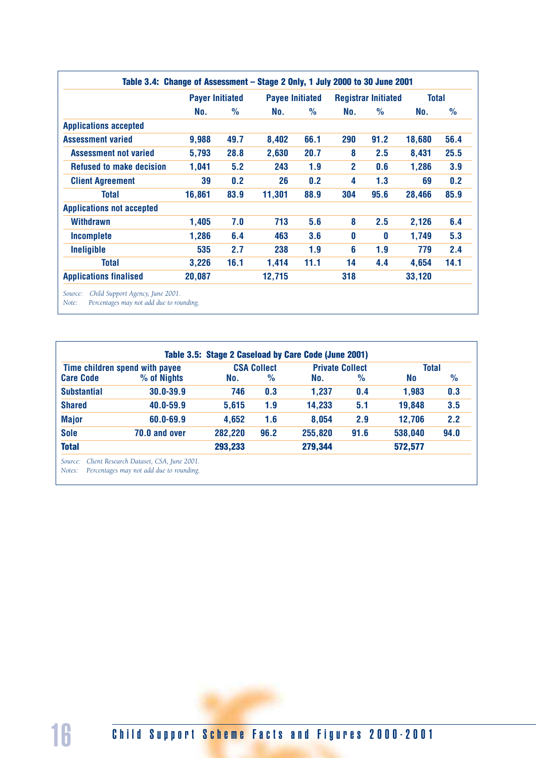|                                  | <b>Payer Initiated</b> |               |        | <b>Payee Initiated</b> |              | <b>Registrar Initiated</b> |        | <b>Total</b>  |  |
|----------------------------------|------------------------|---------------|--------|------------------------|--------------|----------------------------|--------|---------------|--|
|                                  | No.                    | $\frac{0}{0}$ | No.    | $\frac{0}{0}$          | No.          | $\frac{1}{2}$              | No.    | $\frac{0}{0}$ |  |
| <b>Applications accepted</b>     |                        |               |        |                        |              |                            |        |               |  |
| <b>Assessment varied</b>         | 9,988                  | 49.7          | 8,402  | 66.1                   | 290          | 91.2                       | 18,680 | 56.4          |  |
| <b>Assessment not varied</b>     | 5,793                  | 28.8          | 2,630  | 20.7                   | 8            | 2.5                        | 8,431  | 25.5          |  |
| <b>Refused to make decision</b>  | 1,041                  | 5.2           | 243    | 1.9                    | $\mathbf{2}$ | 0.6                        | 1,286  | 3.9           |  |
| <b>Client Agreement</b>          | 39                     | 0.2           | 26     | 0.2                    | 4            | 1.3                        | 69     | 0.2           |  |
| <b>Total</b>                     | 16,861                 | 83.9          | 11,301 | 88.9                   | 304          | 95.6                       | 28,466 | 85.9          |  |
| <b>Applications not accepted</b> |                        |               |        |                        |              |                            |        |               |  |
| Withdrawn                        | 1,405                  | 7.0           | 713    | 5.6                    | 8            | 2.5                        | 2,126  | 6.4           |  |
| <b>Incomplete</b>                | 1,286                  | 6.4           | 463    | 3.6                    | 0            | 0                          | 1,749  | 5.3           |  |
| Ineligible                       | 535                    | 2.7           | 238    | 1.9                    | 6            | 1.9                        | 779    | 2.4           |  |
| <b>Total</b>                     | 3,226                  | 16.1          | 1,414  | 11.1                   | 14           | 4.4                        | 4,654  | 14.1          |  |
| <b>Applications finalised</b>    | 20,087                 |               | 12,715 |                        | 318          |                            | 33,120 |               |  |

*Note: Percentages may not add due to rounding.*

|                    | Time children spend with payee |         | <b>CSA Collect</b> | <b>Private Collect</b> |               | <b>Total</b> |               |
|--------------------|--------------------------------|---------|--------------------|------------------------|---------------|--------------|---------------|
| <b>Care Code</b>   | % of Nights                    | No.     | $\%$               | No.                    | $\frac{9}{6}$ | <b>No</b>    | $\frac{1}{2}$ |
| <b>Substantial</b> | 30.0-39.9                      | 746     | 0.3                | 1,237                  | 0.4           | 1,983        | 0.3           |
| <b>Shared</b>      | 40.0-59.9                      | 5,615   | 1.9                | 14,233                 | 5.1           | 19,848       | 3.5           |
| <b>Major</b>       | 60.0-69.9                      | 4,652   | 1.6                | 8,054                  | 2.9           | 12,706       | 2.2           |
| <b>Sole</b>        | 70.0 and over                  | 282,220 | 96.2               | 255,820                | 91.6          | 538,040      | 94.0          |
| <b>Total</b>       |                                | 293,233 |                    | 279,344                |               | 572,577      |               |

*Notes: Percentages may not add due to rounding.*

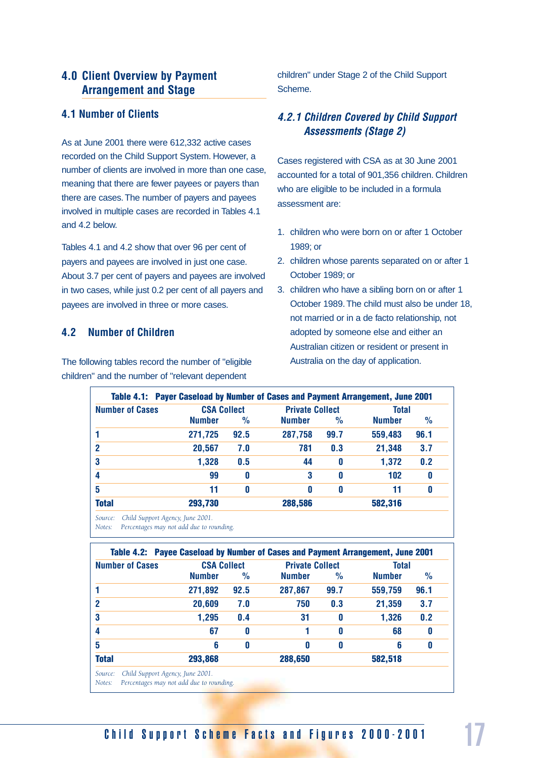#### **4.0 Client Overview by Payment Arrangement and Stage**

#### **4.1 Number of Clients**

As at June 2001 there were 612,332 active cases recorded on the Child Support System. However, a number of clients are involved in more than one case, meaning that there are fewer payees or payers than there are cases. The number of payers and payees involved in multiple cases are recorded in Tables 4.1 and 4.2 below.

Tables 4.1 and 4.2 show that over 96 per cent of payers and payees are involved in just one case. About 3.7 per cent of payers and payees are involved in two cases, while just 0.2 per cent of all payers and payees are involved in three or more cases.

#### **4.2 Number of Children**

The following tables record the number of "eligible children" and the number of "relevant dependent

children" under Stage 2 of the Child Support Scheme.

#### *4.2.1 Children Covered by Child Support Assessments (Stage 2)*

Cases registered with CSA as at 30 June 2001 accounted for a total of 901,356 children. Children who are eligible to be included in a formula assessment are:

- 1. children who were born on or after 1 October 1989; or
- 2. children whose parents separated on or after 1 October 1989; or
- 3. children who have a sibling born on or after 1 October 1989. The child must also be under 18, not married or in a de facto relationship, not adopted by someone else and either an Australian citizen or resident or present in Australia on the day of application.

| <b>Number of Cases</b> | <b>CSA Collect</b> |      | <b>Private Collect</b> |      | <b>Total</b>  |               |
|------------------------|--------------------|------|------------------------|------|---------------|---------------|
|                        | <b>Number</b>      | $\%$ | <b>Number</b>          | $\%$ | <b>Number</b> | $\frac{9}{6}$ |
| 1                      | 271,725            | 92.5 | 287,758                | 99.7 | 559,483       | 96.1          |
| $\mathbf{2}$           | 20,567             | 7.0  | 781                    | 0.3  | 21,348        | 3.7           |
| 3                      | 1,328              | 0.5  | 44                     | 0    | 1,372         | 0.2           |
| 4                      | 99                 | 0    | 3                      | 0    | 102           | 0             |
| 5                      | 11                 | 0    | 0                      | 0    | 11            | 0             |
| <b>Total</b>           | 293,730            |      | 288,586                |      | 582,316       |               |

*Notes: Percentages may not add due to rounding.*

| <b>Number of Cases</b> | <b>CSA Collect</b> |               | <b>Private Collect</b> |      | <b>Total</b>  |      |
|------------------------|--------------------|---------------|------------------------|------|---------------|------|
|                        | <b>Number</b>      | $\frac{1}{2}$ | <b>Number</b>          | $\%$ | <b>Number</b> | $\%$ |
|                        | 271,892            | 92.5          | 287,867                | 99.7 | 559,759       | 96.1 |
| 2                      | 20,609             | 7.0           | 750                    | 0.3  | 21,359        | 3.7  |
| 3                      | 1,295              | 0.4           | 31                     | 0    | 1,326         | 0.2  |
| 4                      | 67                 | 0             |                        | 0    | 68            | 0    |
| 5                      | 6                  | 0             | $\mathbf{0}$           | 0    | 6             | 0    |
| <b>Total</b>           | 293,868            |               | 288,650                |      | 582,518       |      |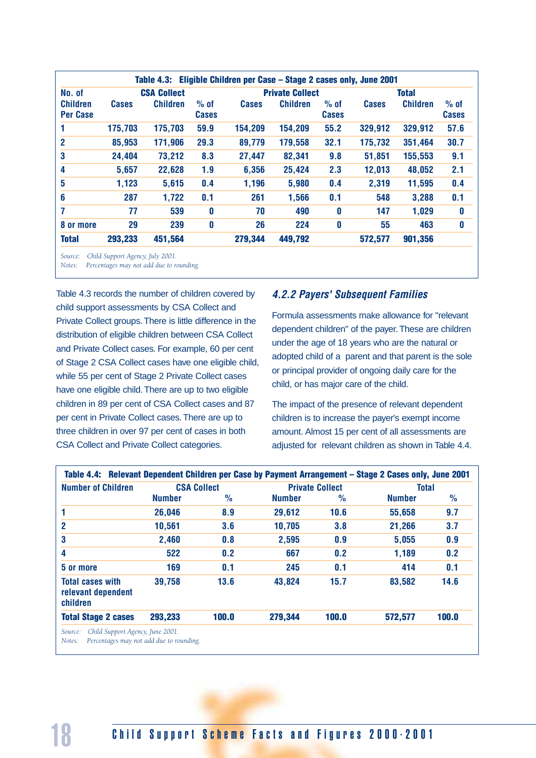| Table 4.3: Eligible Children per Case - Stage 2 cases only, June 2001 |                                              |                 |                        |              |                 |                        |              |                 |                        |
|-----------------------------------------------------------------------|----------------------------------------------|-----------------|------------------------|--------------|-----------------|------------------------|--------------|-----------------|------------------------|
| No. of                                                                | <b>CSA Collect</b><br><b>Private Collect</b> |                 |                        |              |                 |                        |              | <b>Total</b>    |                        |
| <b>Children</b><br><b>Per Case</b>                                    | <b>Cases</b>                                 | <b>Children</b> | $%$ of<br><b>Cases</b> | <b>Cases</b> | <b>Children</b> | $%$ of<br><b>Cases</b> | <b>Cases</b> | <b>Children</b> | $%$ of<br><b>Cases</b> |
|                                                                       | 175,703                                      | 175,703         | 59.9                   | 154,209      | 154,209         | 55.2                   | 329,912      | 329,912         | 57.6                   |
| $\mathbf{2}$                                                          | 85,953                                       | 171,906         | 29.3                   | 89,779       | 179,558         | 32.1                   | 175,732      | 351,464         | 30.7                   |
| 3                                                                     | 24,404                                       | 73,212          | 8.3                    | 27,447       | 82,341          | 9.8                    | 51,851       | 155,553         | 9.1                    |
| 4                                                                     | 5,657                                        | 22,628          | 1.9                    | 6,356        | 25,424          | 2.3                    | 12,013       | 48,052          | 2.1                    |
| 5                                                                     | 1,123                                        | 5,615           | 0.4                    | 1,196        | 5,980           | 0.4                    | 2,319        | 11,595          | 0.4                    |
| 6                                                                     | 287                                          | 1,722           | 0.1                    | 261          | 1,566           | 0.1                    | 548          | 3,288           | 0.1                    |
| 7                                                                     | 77                                           | 539             | 0                      | 70           | 490             | 0                      | 147          | 1,029           | $\boldsymbol{0}$       |
| 8 or more                                                             | 29                                           | 239             | $\bf{0}$               | 26           | 224             | 0                      | 55           | 463             | $\boldsymbol{0}$       |
| <b>Total</b>                                                          | 293,233                                      | 451,564         |                        | 279,344      | 449,792         |                        | 572,577      | 901,356         |                        |

*Notes: Percentages may not add due to rounding.*

Table 4.3 records the number of children covered by child support assessments by CSA Collect and Private Collect groups. There is little difference in the distribution of eligible children between CSA Collect and Private Collect cases. For example, 60 per cent of Stage 2 CSA Collect cases have one eligible child, while 55 per cent of Stage 2 Private Collect cases have one eligible child. There are up to two eligible children in 89 per cent of CSA Collect cases and 87 per cent in Private Collect cases. There are up to three children in over 97 per cent of cases in both CSA Collect and Private Collect categories.

#### *4.2.2 Payers' Subsequent Families*

Formula assessments make allowance for "relevant dependent children" of the payer. These are children under the age of 18 years who are the natural or adopted child of a parent and that parent is the sole or principal provider of ongoing daily care for the child, or has major care of the child.

The impact of the presence of relevant dependent children is to increase the payer's exempt income amount. Almost 15 per cent of all assessments are adjusted for relevant children as shown in Table 4.4.

| <b>Number of Children</b>                                 |               | <b>CSA Collect</b> |               | <b>Private Collect</b> | <b>Total</b>  |               |
|-----------------------------------------------------------|---------------|--------------------|---------------|------------------------|---------------|---------------|
|                                                           | <b>Number</b> | $\frac{1}{2}$      | <b>Number</b> | $\frac{0}{0}$          | <b>Number</b> | $\frac{1}{2}$ |
|                                                           | 26,046        | 8.9                | 29,612        | 10.6                   | 55,658        | 9.7           |
| 2                                                         | 10,561        | 3.6                | 10,705        | 3.8                    | 21,266        | 3.7           |
| 3                                                         | 2,460         | 0.8                | 2,595         | 0.9                    | 5,055         | 0.9           |
| 4                                                         | 522           | 0.2                | 667           | 0.2                    | 1,189         | 0.2           |
| 5 or more                                                 | 169           | 0.1                | 245           | 0.1                    | 414           | 0.1           |
| <b>Total cases with</b><br>relevant dependent<br>children | 39,758        | 13.6               | 43,824        | 15.7                   | 83,582        | 14.6          |
| <b>Total Stage 2 cases</b>                                | 293,233       | 100.0              | 279,344       | 100.0                  | 572,577       | 100.0         |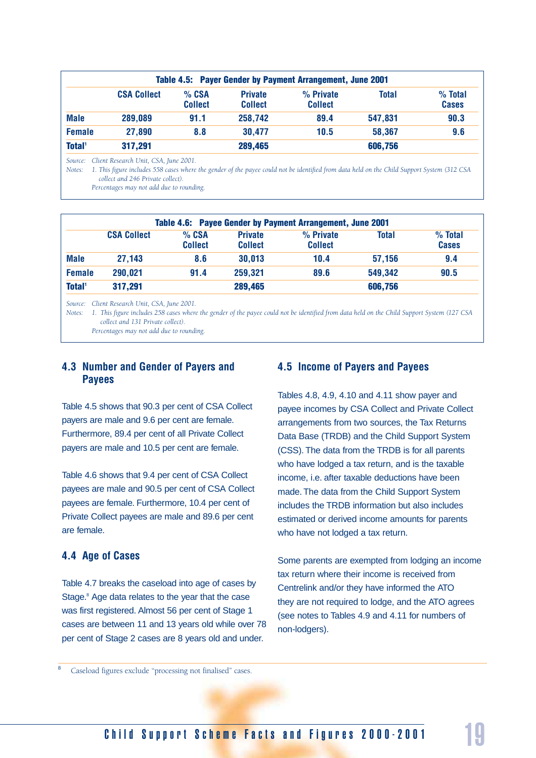| Table 4.5: Payer Gender by Payment Arrangement, June 2001 |                           |                                  |                               |              |                         |  |
|-----------------------------------------------------------|---------------------------|----------------------------------|-------------------------------|--------------|-------------------------|--|
| <b>CSA Collect</b>                                        | $%$ CSA<br><b>Collect</b> | <b>Private</b><br><b>Collect</b> | $%$ Private<br><b>Collect</b> | <b>Total</b> | % Total<br><b>Cases</b> |  |
| 289,089                                                   | 91.1                      | 258,742                          | 89.4                          | 547,831      | 90.3                    |  |
| 27,890                                                    | 8.8                       | 30,477                           | 10.5                          | 58,367       | 9.6                     |  |
| 317,291                                                   |                           | 289,465                          |                               | 606,756      |                         |  |
|                                                           |                           |                                  |                               |              |                         |  |

*Source: Client Research Unit, CSA, June 2001.*

*Notes: 1. This figure includes 558 cases where the gender of the payee could not be identified from data held on the Child Support System (312 CSA collect and 246 Private collect).*

*Percentages may not add due to rounding.*

| Table 4.6: Payee Gender by Payment Arrangement, June 2001 |                    |                           |                                  |                               |         |                           |  |
|-----------------------------------------------------------|--------------------|---------------------------|----------------------------------|-------------------------------|---------|---------------------------|--|
|                                                           | <b>CSA Collect</b> | $%$ CSA<br><b>Collect</b> | <b>Private</b><br><b>Collect</b> | $%$ Private<br><b>Collect</b> | Total   | $%$ Total<br><b>Cases</b> |  |
| <b>Male</b>                                               | 27,143             | 8.6                       | 30,013                           | 10.4                          | 57,156  | 9.4                       |  |
| <b>Female</b>                                             | 290,021            | 91.4                      | 259,321                          | 89.6                          | 549,342 | 90.5                      |  |
| <b>Total</b> <sup>1</sup>                                 | 317,291            |                           | 289,465                          |                               | 606,756 |                           |  |

*Source: Client Research Unit, CSA, June 2001.*

*Notes: 1. This figure includes 258 cases where the gender of the payee could not be identified from data held on the Child Support System (127 CSA collect and 131 Private collect).*

*Percentages may not add due to rounding.*

#### **4.3 Number and Gender of Payers and Payees**

Table 4.5 shows that 90.3 per cent of CSA Collect payers are male and 9.6 per cent are female. Furthermore, 89.4 per cent of all Private Collect payers are male and 10.5 per cent are female.

Table 4.6 shows that 9.4 per cent of CSA Collect payees are male and 90.5 per cent of CSA Collect payees are female. Furthermore, 10.4 per cent of Private Collect payees are male and 89.6 per cent are female.

#### **4.4 Age of Cases**

Table 4.7 breaks the caseload into age of cases by Stage.<sup>8</sup> Age data relates to the year that the case was first registered. Almost 56 per cent of Stage 1 cases are between 11 and 13 years old while over 78 per cent of Stage 2 cases are 8 years old and under.

#### **4.5 Income of Payers and Payees**

Tables 4.8, 4.9, 4.10 and 4.11 show payer and payee incomes by CSA Collect and Private Collect arrangements from two sources, the Tax Returns Data Base (TRDB) and the Child Support System (CSS). The data from the TRDB is for all parents who have lodged a tax return, and is the taxable income, i.e. after taxable deductions have been made. The data from the Child Support System includes the TRDB information but also includes estimated or derived income amounts for parents who have not lodged a tax return.

Some parents are exempted from lodging an income tax return where their income is received from Centrelink and/or they have informed the ATO they are not required to lodge, and the ATO agrees (see notes to Tables 4.9 and 4.11 for numbers of non-lodgers).

Caseload figures exclude "processing not finalised" cases.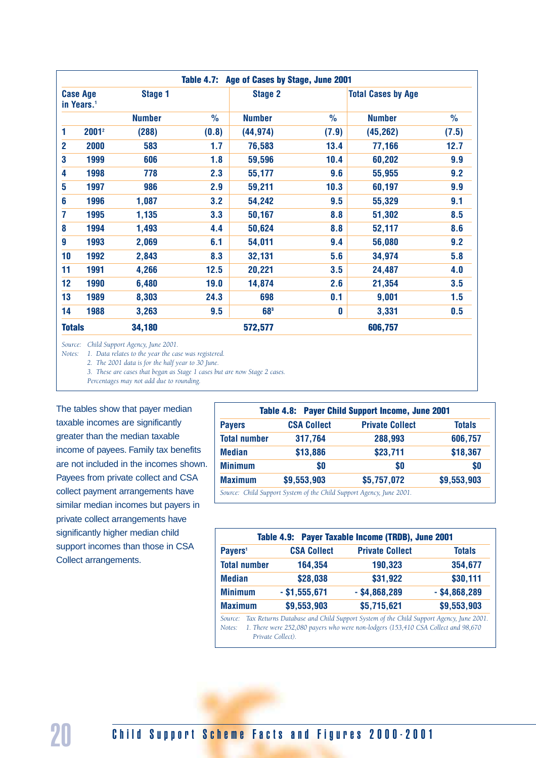| Table 4.7: Age of Cases by Stage, June 2001 |                                           |               |               |                 |               |                           |               |  |
|---------------------------------------------|-------------------------------------------|---------------|---------------|-----------------|---------------|---------------------------|---------------|--|
|                                             | <b>Case Age</b><br>in Years. <sup>1</sup> | Stage 1       |               | <b>Stage 2</b>  |               | <b>Total Cases by Age</b> |               |  |
|                                             |                                           | <b>Number</b> | $\frac{0}{0}$ | <b>Number</b>   | $\frac{0}{0}$ | <b>Number</b>             | $\frac{0}{0}$ |  |
| 1                                           | 2001 <sup>2</sup>                         | (288)         | (0.8)         | (44, 974)       | (7.9)         | (45, 262)                 | (7.5)         |  |
| $\overline{2}$                              | 2000                                      | 583           | 1.7           | 76,583          | 13.4          | 77,166                    | 12.7          |  |
| 3                                           | 1999                                      | 606           | 1.8           | 59,596          | 10.4          | 60,202                    | 9.9           |  |
| 4                                           | 1998                                      | 778           | 2.3           | 55,177          | 9.6           | 55,955                    | 9.2           |  |
| 5                                           | 1997                                      | 986           | 2.9           | 59,211          | 10.3          | 60,197                    | 9.9           |  |
| 6                                           | 1996                                      | 1,087         | 3.2           | 54,242          | 9.5           | 55,329                    | 9.1           |  |
| 7                                           | 1995                                      | 1,135         | 3.3           | 50,167          | 8.8           | 51,302                    | 8.5           |  |
| 8                                           | 1994                                      | 1,493         | 4.4           | 50,624          | 8.8           | 52,117                    | 8.6           |  |
| 9                                           | 1993                                      | 2,069         | 6.1           | 54,011          | 9.4           | 56,080                    | 9.2           |  |
| 10                                          | 1992                                      | 2,843         | 8.3           | 32,131          | 5.6           | 34,974                    | 5.8           |  |
| 11                                          | 1991                                      | 4,266         | 12.5          | 20,221          | 3.5           | 24,487                    | 4.0           |  |
| 12                                          | 1990                                      | 6,480         | 19.0          | 14,874          | 2.6           | 21,354                    | 3.5           |  |
| 13                                          | 1989                                      | 8,303         | 24.3          | 698             | 0.1           | 9,001                     | 1.5           |  |
| 14                                          | 1988                                      | 3,263         | 9.5           | 68 <sup>3</sup> | $\mathbf 0$   | 3,331                     | 0.5           |  |
| <b>Totals</b>                               |                                           | 34,180        |               | 572,577         |               | 606,757                   |               |  |

*Source: Child Support Agency, June 2001.*

*Notes: 1. Data relates to the year the case was registered.* 

*2. The 2001 data is for the half year to 30 June.*

*3. These are cases that began as Stage 1 cases but are now Stage 2 cases.*

*Percentages may not add due to rounding.*

The tables show that payer median taxable incomes are significantly greater than the median taxable income of payees. Family tax benefits are not included in the incomes shown. Payees from private collect and CSA collect payment arrangements have similar median incomes but payers in private collect arrangements have significantly higher median child support incomes than those in CSA Collect arrangements.

| Table 4.8: Payer Child Support Income, June 2001 |                                                                      |                        |               |  |  |  |
|--------------------------------------------------|----------------------------------------------------------------------|------------------------|---------------|--|--|--|
| <b>Payers</b>                                    | <b>CSA Collect</b>                                                   | <b>Private Collect</b> | <b>Totals</b> |  |  |  |
| <b>Total number</b>                              | 317,764                                                              | 288,993                | 606,757       |  |  |  |
| <b>Median</b>                                    | \$13,886                                                             | \$23,711               | \$18,367      |  |  |  |
| <b>Minimum</b>                                   | \$0                                                                  | \$O                    | \$0           |  |  |  |
| <b>Maximum</b>                                   | \$9,553,903                                                          | \$5,757,072            | \$9,553,903   |  |  |  |
|                                                  | Source: Child Support System of the Child Support Agency, June 2001. |                        |               |  |  |  |

|                     |                    | Table 4.9: Payer Taxable Income (TRDB), June 2001                                                                                                                          |                 |  |
|---------------------|--------------------|----------------------------------------------------------------------------------------------------------------------------------------------------------------------------|-----------------|--|
| Payers <sup>1</sup> | <b>CSA Collect</b> | <b>Private Collect</b>                                                                                                                                                     | <b>Totals</b>   |  |
| <b>Total number</b> | 164,354            | 190,323                                                                                                                                                                    | 354,677         |  |
| <b>Median</b>       | \$28,038           | \$31,922                                                                                                                                                                   | \$30,111        |  |
| <b>Minimum</b>      | $-$ \$1,555,671    | $-$ \$4,868,289                                                                                                                                                            | $-$ \$4,868,289 |  |
| <b>Maximum</b>      | \$9,553,903        | \$5,715,621                                                                                                                                                                | \$9,553,903     |  |
| Source:<br>Notes:   | Private Collect).  | Tax Returns Database and Child Support System of the Child Support Agency, June 2001.<br>1. There were 252,080 payers who were non-lodgers (153,410 CSA Collect and 98,670 |                 |  |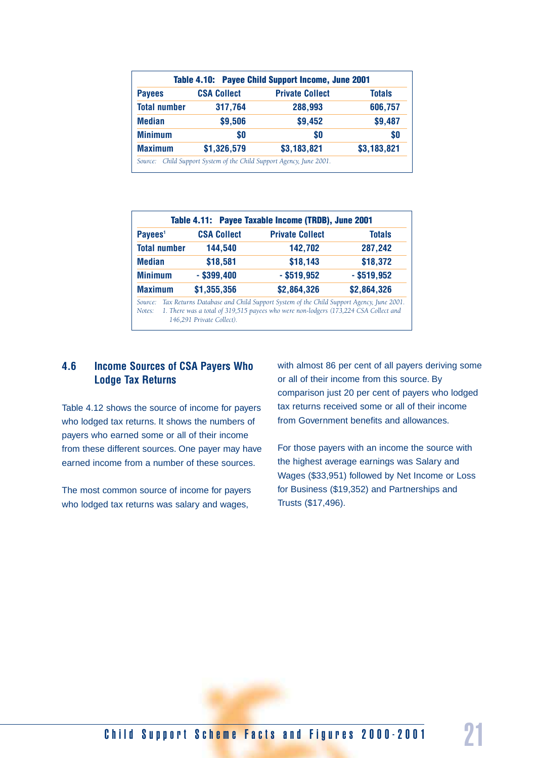| Table 4.10: Payee Child Support Income, June 2001 |                    |                        |               |  |  |  |
|---------------------------------------------------|--------------------|------------------------|---------------|--|--|--|
| <b>Payees</b>                                     | <b>CSA Collect</b> | <b>Private Collect</b> | <b>Totals</b> |  |  |  |
| <b>Total number</b>                               | 317,764            | 288,993                | 606,757       |  |  |  |
| <b>Median</b>                                     | \$9,506            | \$9,452                | \$9,487       |  |  |  |
| <b>Minimum</b>                                    | \$O                | \$0                    | \$O           |  |  |  |
| <b>Maximum</b>                                    | \$1,326,579        | \$3,183,821            | \$3,183,821   |  |  |  |

| Payees <sup>1</sup>            | <b>CSA Collect</b>        | <b>Private Collect</b>                                                                                                                                                        | <b>Totals</b> |  |
|--------------------------------|---------------------------|-------------------------------------------------------------------------------------------------------------------------------------------------------------------------------|---------------|--|
| <b>Total number</b><br>144,540 |                           | 142,702                                                                                                                                                                       | 287,242       |  |
| <b>Median</b>                  | \$18,581                  | \$18,143                                                                                                                                                                      | \$18,372      |  |
| <b>Minimum</b>                 | $-$ \$399,400             | $-$ \$519,952                                                                                                                                                                 | $-$ \$519,952 |  |
| <b>Maximum</b>                 | \$1,355,356               | \$2,864,326                                                                                                                                                                   | \$2,864,326   |  |
| Source:<br>Notes:              | 146,291 Private Collect). | Tax Returns Database and Child Support System of the Child Support Agency, June 2001.<br>1. There was a total of 319,515 payees who were non-lodgers (173,224 CSA Collect and |               |  |

#### **4.6 Income Sources of CSA Payers Who Lodge Tax Returns**

Table 4.12 shows the source of income for payers who lodged tax returns. It shows the numbers of payers who earned some or all of their income from these different sources. One payer may have earned income from a number of these sources.

The most common source of income for payers who lodged tax returns was salary and wages,

with almost 86 per cent of all payers deriving some or all of their income from this source. By comparison just 20 per cent of payers who lodged tax returns received some or all of their income from Government benefits and allowances.

For those payers with an income the source with the highest average earnings was Salary and Wages (\$33,951) followed by Net Income or Loss for Business (\$19,352) and Partnerships and Trusts (\$17,496).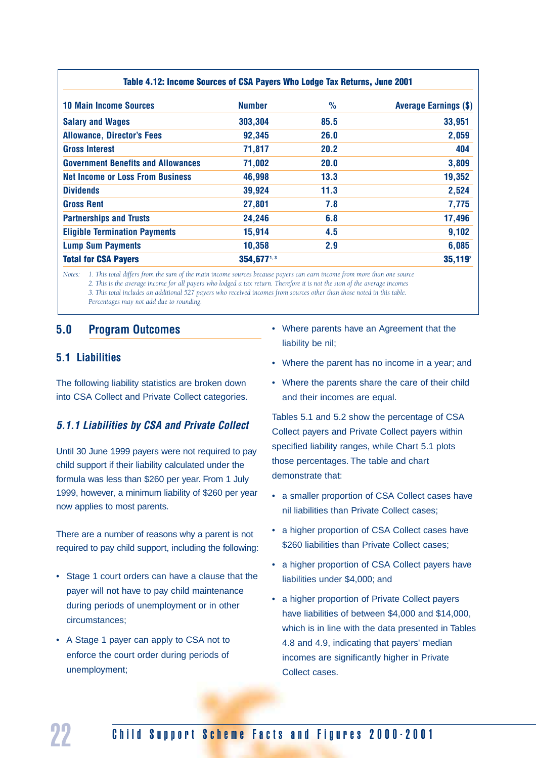| Table 4.12: Income Sources of CSA Payers Who Lodge Tax Returns, June 2001 |               |               |                              |  |  |  |  |
|---------------------------------------------------------------------------|---------------|---------------|------------------------------|--|--|--|--|
| <b>10 Main Income Sources</b>                                             | <b>Number</b> | $\frac{0}{0}$ | <b>Average Earnings (\$)</b> |  |  |  |  |
| <b>Salary and Wages</b>                                                   | 303,304       | 85.5          | 33,951                       |  |  |  |  |
| <b>Allowance, Director's Fees</b>                                         | 92,345        | 26.0          | 2,059                        |  |  |  |  |
| <b>Gross Interest</b>                                                     | 71,817        | 20.2          | 404                          |  |  |  |  |
| <b>Government Benefits and Allowances</b>                                 | 71,002        | 20.0          | 3,809                        |  |  |  |  |
| <b>Net Income or Loss From Business</b>                                   | 46,998        | 13.3          | 19,352                       |  |  |  |  |
| <b>Dividends</b>                                                          | 39,924        | 11.3          | 2,524                        |  |  |  |  |
| <b>Gross Rent</b>                                                         | 27,801        | 7.8           | 7,775                        |  |  |  |  |
| <b>Partnerships and Trusts</b>                                            | 24,246        | 6.8           | 17,496                       |  |  |  |  |
| <b>Eligible Termination Payments</b>                                      | 15,914        | 4.5           | 9,102                        |  |  |  |  |
| <b>Lump Sum Payments</b>                                                  | 10,358        | 2.9           | 6,085                        |  |  |  |  |
| <b>Total for CSA Payers</b>                                               | 354,6771,3    |               | $35,119^2$                   |  |  |  |  |

*Notes: 1. This total differs from the sum of the main income sources because payers can earn income from more than one source 2. This is the average income for all payers who lodged a tax return. Therefore it is not the sum of the average incomes 3. This total includes an additional 527 payers who received incomes from sources other than those noted in this table. Percentages may not add due to rounding.*

#### **5.0 Program Outcomes**

#### **5.1 Liabilities**

The following liability statistics are broken down into CSA Collect and Private Collect categories.

#### *5.1.1 Liabilities by CSA and Private Collect*

Until 30 June 1999 payers were not required to pay child support if their liability calculated under the formula was less than \$260 per year. From 1 July 1999, however, a minimum liability of \$260 per year now applies to most parents.

There are a number of reasons why a parent is not required to pay child support, including the following:

- Stage 1 court orders can have a clause that the payer will not have to pay child maintenance during periods of unemployment or in other circumstances;
- A Stage 1 payer can apply to CSA not to enforce the court order during periods of unemployment;
- Where parents have an Agreement that the liability be nil;
- Where the parent has no income in a year; and
- Where the parents share the care of their child and their incomes are equal.

Tables 5.1 and 5.2 show the percentage of CSA Collect payers and Private Collect payers within specified liability ranges, while Chart 5.1 plots those percentages. The table and chart demonstrate that:

- a smaller proportion of CSA Collect cases have nil liabilities than Private Collect cases;
- a higher proportion of CSA Collect cases have \$260 liabilities than Private Collect cases;
- a higher proportion of CSA Collect payers have liabilities under \$4,000; and
- a higher proportion of Private Collect payers have liabilities of between \$4,000 and \$14,000, which is in line with the data presented in Tables 4.8 and 4.9, indicating that payers' median incomes are significantly higher in Private Collect cases.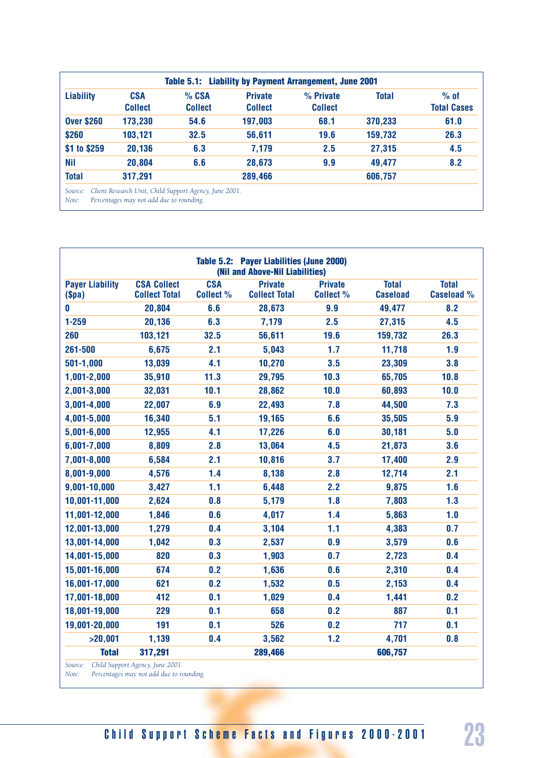| <b>Liability</b>  | <b>CSA</b><br><b>Collect</b> | % CSA<br><b>Collect</b> | <b>Private</b><br><b>Collect</b> | % Private<br><b>Collect</b> | <b>Total</b> | $%$ of<br><b>Total Cases</b> |
|-------------------|------------------------------|-------------------------|----------------------------------|-----------------------------|--------------|------------------------------|
| <b>Over \$260</b> | 173,230                      | 54.6                    | 197,003                          | 68.1                        | 370,233      | 61.0                         |
| \$260             | 103,121                      | 32.5                    | 56,611                           | 19.6                        | 159,732      | 26.3                         |
| \$1 to \$259      | 20,136                       | 6.3                     | 7,179                            | 2.5                         | 27,315       | 4.5                          |
| <b>Nil</b>        | 20,804                       | 6.6                     | 28,673                           | 9.9                         | 49,477       | 8.2                          |
| <b>Total</b>      | 317,291                      |                         | 289,466                          |                             | 606,757      |                              |

|                                                        |                                            |                                | Table 5.2: Payer Liabilities (June 2000)<br>(Nil and Above-Nil Liabilities) |                                    |                                 |                                   |
|--------------------------------------------------------|--------------------------------------------|--------------------------------|-----------------------------------------------------------------------------|------------------------------------|---------------------------------|-----------------------------------|
| <b>Payer Liability</b><br>$(\$pa)$                     | <b>CSA Collect</b><br><b>Collect Total</b> | <b>CSA</b><br><b>Collect %</b> | <b>Private</b><br><b>Collect Total</b>                                      | <b>Private</b><br><b>Collect %</b> | <b>Total</b><br><b>Caseload</b> | <b>Total</b><br><b>Caseload %</b> |
| 0                                                      | 20,804                                     | 6.6                            | 28,673                                                                      | 9.9                                | 49,477                          | 8.2                               |
| $1 - 259$                                              | 20,136                                     | 6.3                            | 7,179                                                                       | 2.5                                | 27,315                          | 4.5                               |
| 260                                                    | 103,121                                    | 32.5                           | 56,611                                                                      | 19.6                               | 159,732                         | 26.3                              |
| 261-500                                                | 6,675                                      | 2.1                            | 5,043                                                                       | 1.7                                | 11,718                          | 1.9                               |
| 501-1,000                                              | 13,039                                     | 4.1                            | 10,270                                                                      | 3.5                                | 23,309                          | 3.8                               |
| 1,001-2,000                                            | 35,910                                     | 11.3                           | 29,795                                                                      | 10.3                               | 65,705                          | 10.8                              |
| 2,001-3,000                                            | 32,031                                     | 10.1                           | 28,862                                                                      | 10.0                               | 60,893                          | 10.0                              |
| 3,001-4,000                                            | 22,007                                     | 6.9                            | 22,493                                                                      | 7.8                                | 44,500                          | 7.3                               |
| 4,001-5,000                                            | 16,340                                     | 5.1                            | 19,165                                                                      | 6.6                                | 35,505                          | 5.9                               |
| $5,001 - 6,000$                                        | 12,955                                     | 4.1                            | 17,226                                                                      | 6.0                                | 30,181                          | 5.0                               |
| $6,001 - 7,000$                                        | 8,809                                      | 2.8                            | 13,064                                                                      | 4.5                                | 21,873                          | 3.6                               |
| 7,001-8,000                                            | 6,584                                      | 2.1                            | 10,816                                                                      | 3.7                                | 17,400                          | 2.9                               |
| 8,001-9,000                                            | 4,576                                      | 1.4                            | 8,138                                                                       | 2.8                                | 12,714                          | 2.1                               |
| 9,001-10,000                                           | 3,427                                      | 1.1                            | 6,448                                                                       | 2.2                                | 9,875                           | 1.6                               |
| 10,001-11,000                                          | 2,624                                      | 0.8                            | 5,179                                                                       | 1.8                                | 7,803                           | 1.3                               |
| 11,001-12,000                                          | 1,846                                      | 0.6                            | 4,017                                                                       | 1.4                                | 5,863                           | 1.0                               |
| 12,001-13,000                                          | 1,279                                      | 0.4                            | 3,104                                                                       | 1.1                                | 4,383                           | 0.7                               |
| 13,001-14,000                                          | 1,042                                      | 0.3                            | 2,537                                                                       | 0.9                                | 3,579                           | 0.6                               |
| 14,001-15,000                                          | 820                                        | 0.3                            | 1,903                                                                       | 0.7                                | 2,723                           | 0.4                               |
| 15,001-16,000                                          | 674                                        | 0.2                            | 1,636                                                                       | 0.6                                | 2,310                           | 0.4                               |
| 16,001-17,000                                          | 621                                        | 0.2                            | 1,532                                                                       | 0.5                                | 2,153                           | 0.4                               |
| 17,001-18,000                                          | 412                                        | 0.1                            | 1,029                                                                       | 0.4                                | 1,441                           | 0.2                               |
| 18,001-19,000                                          | 229                                        | 0.1                            | 658                                                                         | 0.2                                | 887                             | 0.1                               |
| 19,001-20,000                                          | 191                                        | 0.1                            | 526                                                                         | 0.2                                | 717                             | 0.1                               |
| >20,001                                                | 1,139                                      | 0.4                            | 3,562                                                                       | 1.2                                | 4,701                           | 0.8                               |
| <b>Total</b><br>Source: Child Sunnort Agency June 2001 | 317,291                                    |                                | 289,466                                                                     |                                    | 606,757                         |                                   |

*Source: Child Support Agency, June 2001.*

*Note: Percentages may not add due to rounding.*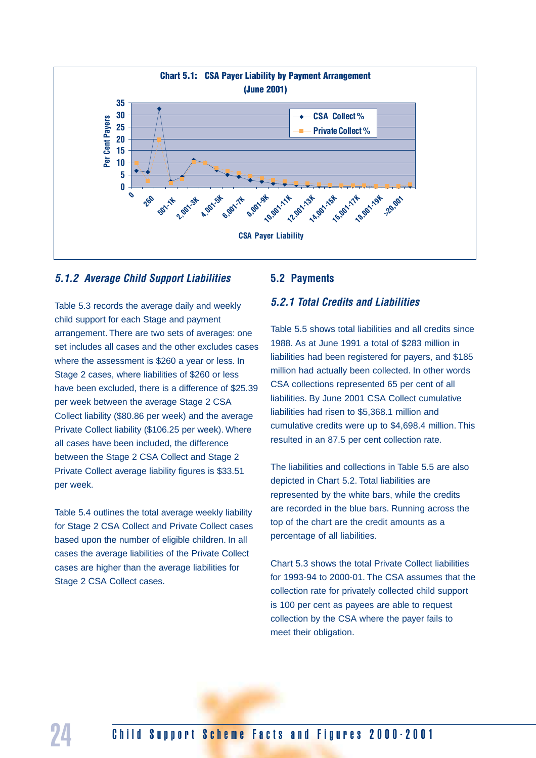

#### *5.1.2 Average Child Support Liabilities*

Table 5.3 records the average daily and weekly child support for each Stage and payment arrangement. There are two sets of averages: one set includes all cases and the other excludes cases where the assessment is \$260 a year or less. In Stage 2 cases, where liabilities of \$260 or less have been excluded, there is a difference of \$25.39 per week between the average Stage 2 CSA Collect liability (\$80.86 per week) and the average Private Collect liability (\$106.25 per week). Where all cases have been included, the difference between the Stage 2 CSA Collect and Stage 2 Private Collect average liability figures is \$33.51 per week.

Table 5.4 outlines the total average weekly liability for Stage 2 CSA Collect and Private Collect cases based upon the number of eligible children. In all cases the average liabilities of the Private Collect cases are higher than the average liabilities for Stage 2 CSA Collect cases.

#### **5.2 Payments**

#### *5.2.1 Total Credits and Liabilities*

Table 5.5 shows total liabilities and all credits since 1988. As at June 1991 a total of \$283 million in liabilities had been registered for payers, and \$185 million had actually been collected. In other words CSA collections represented 65 per cent of all liabilities. By June 2001 CSA Collect cumulative liabilities had risen to \$5,368.1 million and cumulative credits were up to \$4,698.4 million. This resulted in an 87.5 per cent collection rate.

The liabilities and collections in Table 5.5 are also depicted in Chart 5.2. Total liabilities are represented by the white bars, while the credits are recorded in the blue bars. Running across the top of the chart are the credit amounts as a percentage of all liabilities.

Chart 5.3 shows the total Private Collect liabilities for 1993-94 to 2000-01. The CSA assumes that the collection rate for privately collected child support is 100 per cent as payees are able to request collection by the CSA where the payer fails to meet their obligation.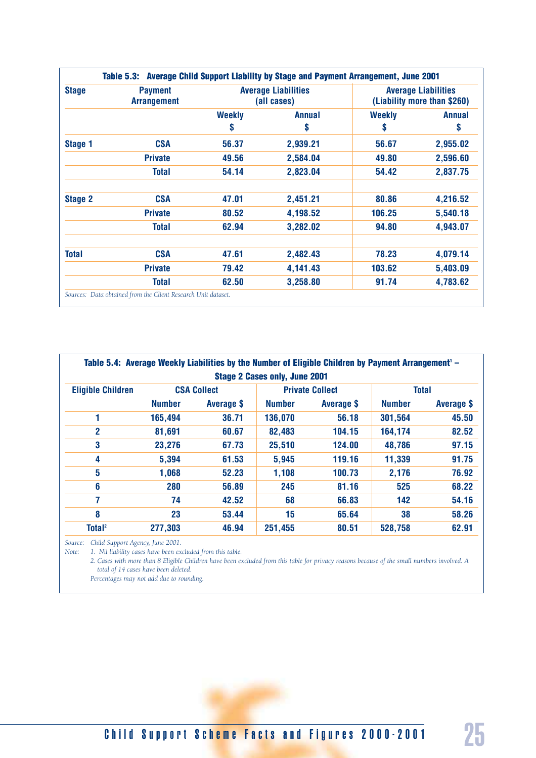| <b>Stage</b>   | <b>Payment</b><br><b>Arrangement</b> |                     | <b>Average Liabilities</b><br>(all cases) |                     | <b>Average Liabilities</b><br>(Liability more than \$260) |
|----------------|--------------------------------------|---------------------|-------------------------------------------|---------------------|-----------------------------------------------------------|
|                |                                      | <b>Weekly</b><br>\$ | <b>Annual</b><br>\$                       | <b>Weekly</b><br>\$ | <b>Annual</b><br>\$                                       |
| Stage 1        | <b>CSA</b>                           | 56.37               | 2,939.21                                  | 56.67               | 2,955.02                                                  |
|                | <b>Private</b>                       | 49.56               | 2,584.04                                  | 49.80               | 2,596.60                                                  |
|                | <b>Total</b>                         | 54.14               | 2,823.04                                  | 54.42               | 2,837.75                                                  |
| <b>Stage 2</b> | <b>CSA</b>                           | 47.01               | 2,451.21                                  | 80.86               | 4,216.52                                                  |
|                | <b>Private</b>                       | 80.52               | 4,198.52                                  | 106.25              | 5,540.18                                                  |
|                | <b>Total</b>                         | 62.94               | 3,282.02                                  | 94.80               | 4,943.07                                                  |
| <b>Total</b>   | <b>CSA</b>                           | 47.61               | 2,482.43                                  | 78.23               | 4,079.14                                                  |
|                | <b>Private</b>                       | 79.42               | 4,141.43                                  | 103.62              | 5,403.09                                                  |
|                | <b>Total</b>                         | 62.50               | 3,258.80                                  | 91.74               | 4,783.62                                                  |

|                          |               |                    | <b>Stage 2 Cases only, June 2001</b> | Table 5.4: Average Weekly Liabilities by the Number of Eligible Children by Payment Arrangement <sup>1</sup> – |               |                   |
|--------------------------|---------------|--------------------|--------------------------------------|----------------------------------------------------------------------------------------------------------------|---------------|-------------------|
| <b>Eligible Children</b> |               | <b>CSA Collect</b> |                                      | <b>Private Collect</b>                                                                                         | <b>Total</b>  |                   |
|                          | <b>Number</b> | Average \$         | <b>Number</b>                        | Average \$                                                                                                     | <b>Number</b> | <b>Average \$</b> |
|                          | 165,494       | 36.71              | 136,070                              | 56.18                                                                                                          | 301,564       | 45.50             |
| 2                        | 81,691        | 60.67              | 82,483                               | 104.15                                                                                                         | 164,174       | 82.52             |
| 3                        | 23,276        | 67.73              | 25,510                               | 124.00                                                                                                         | 48,786        | 97.15             |
| 4                        | 5,394         | 61.53              | 5,945                                | 119.16                                                                                                         | 11,339        | 91.75             |
| 5                        | 1,068         | 52.23              | 1,108                                | 100.73                                                                                                         | 2,176         | 76.92             |
| 6                        | 280           | 56.89              | 245                                  | 81.16                                                                                                          | 525           | 68.22             |
| 7                        | 74            | 42.52              | 68                                   | 66.83                                                                                                          | 142           | 54.16             |
| 8                        | 23            | 53.44              | 15                                   | 65.64                                                                                                          | 38            | 58.26             |
| Total <sup>2</sup>       | 277,303       | 46.94              | 251,455                              | 80.51                                                                                                          | 528,758       | 62.91             |

*Source: Child Support Agency, June 2001.*

*Note: 1. Nil liability cases have been excluded from this table.*

*2. Cases with more than 8 Eligible Children have been excluded from this table for privacy reasons because of the small numbers involved. A total of 14 cases have been deleted.*

*Percentages may not add due to rounding.*

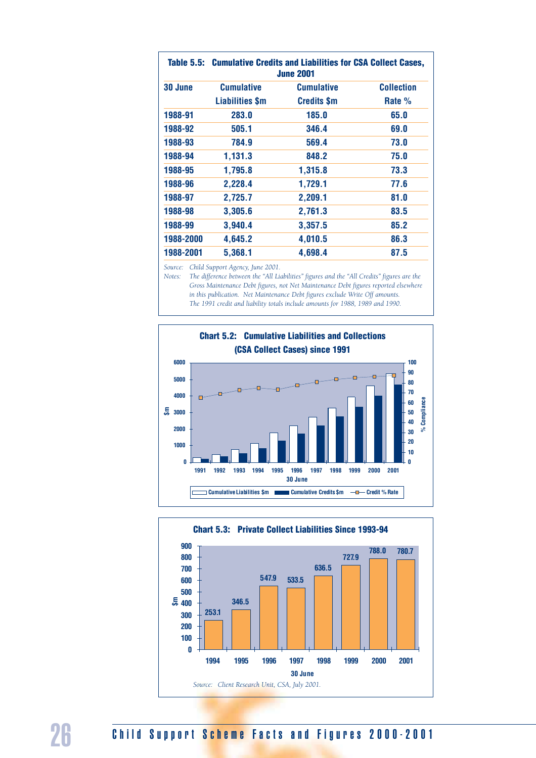|           |                   | Table 5.5: Cumulative Credits and Liabilities for CSA Collect Cases,<br><b>June 2001</b> |                   |
|-----------|-------------------|------------------------------------------------------------------------------------------|-------------------|
| 30 June   | <b>Cumulative</b> | <b>Cumulative</b>                                                                        | <b>Collection</b> |
|           | Liabilities \$m   | <b>Credits \$m</b>                                                                       | Rate %            |
| 1988-91   | 283.0             | 185.0                                                                                    | 65.0              |
| 1988-92   | 505.1             | 346.4                                                                                    | 69.0              |
| 1988-93   | 784.9             | 569.4                                                                                    | 73.0              |
| 1988-94   | 1.131.3           | 848.2                                                                                    | 75.0              |
| 1988-95   | 1,795.8           | 1,315.8                                                                                  | 73.3              |
| 1988-96   | 2,228.4           | 1,729.1                                                                                  | 77.6              |
| 1988-97   | 2,725.7           | 2,209.1                                                                                  | 81.0              |
| 1988-98   | 3,305.6           | 2,761.3                                                                                  | 83.5              |
| 1988-99   | 3,940.4           | 3.357.5                                                                                  | 85.2              |
| 1988-2000 | 4,645.2           | 4,010.5                                                                                  | 86.3              |
| 1988-2001 | 5.368.1           | 4.698.4                                                                                  | 87.5              |

*Source: Child Support Agency, June 2001.*

*Notes: The difference between the "All Liabilities" figures and the "All Credits" figures are the Gross Maintenance Debt figures, not Net Maintenance Debt figures reported elsewhere in this publication. Net Maintenance Debt figures exclude Write Off amounts. The 1991 credit and liability totals include amounts for 1988, 1989 and 1990.*



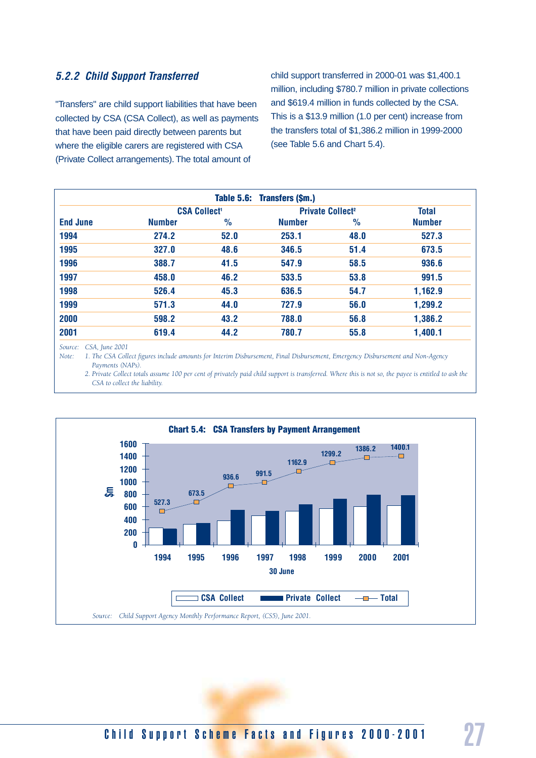#### *5.2.2 Child Support Transferred*

"Transfers" are child support liabilities that have been collected by CSA (CSA Collect), as well as payments that have been paid directly between parents but where the eligible carers are registered with CSA (Private Collect arrangements). The total amount of

child support transferred in 2000-01 was \$1,400.1 million, including \$780.7 million in private collections and \$619.4 million in funds collected by the CSA. This is a \$13.9 million (1.0 per cent) increase from the transfers total of \$1,386.2 million in 1999-2000 (see Table 5.6 and Chart 5.4).

|                 |               |                                | Table 5.6: Transfers (\$m.)        |               |               |
|-----------------|---------------|--------------------------------|------------------------------------|---------------|---------------|
|                 |               | <b>CSA Collect<sup>1</sup></b> | <b>Private Collect<sup>2</sup></b> |               | <b>Total</b>  |
| <b>End June</b> | <b>Number</b> | $\frac{0}{0}$                  | <b>Number</b>                      | $\frac{9}{6}$ | <b>Number</b> |
| 1994            | 274.2         | 52.0                           | 253.1                              | 48.0          | 527.3         |
| 1995            | 327.0         | 48.6                           | 346.5                              | 51.4          | 673.5         |
| 1996            | 388.7         | 41.5                           | 547.9                              | 58.5          | 936.6         |
| 1997            | 458.0         | 46.2                           | 533.5                              | 53.8          | 991.5         |
| 1998            | 526.4         | 45.3                           | 636.5                              | 54.7          | 1,162.9       |
| 1999            | 571.3         | 44.0                           | 727.9                              | 56.0          | 1,299.2       |
| 2000            | 598.2         | 43.2                           | 788.0                              | 56.8          | 1,386.2       |
| 2001            | 619.4         | 44.2                           | 780.7                              | 55.8          | 1,400.1       |

*Source: CSA, June 2001*

*Note: 1. The CSA Collect figures include amounts for Interim Disbursement, Final Disbursement, Emergency Disbursement and Non-Agency Payments (NAPs).*

2. Private Collect totals assume 100 per cent of privately paid child support is transferred. Where this is not so, the payee is entitled to ask the *CSA to collect the liability.*

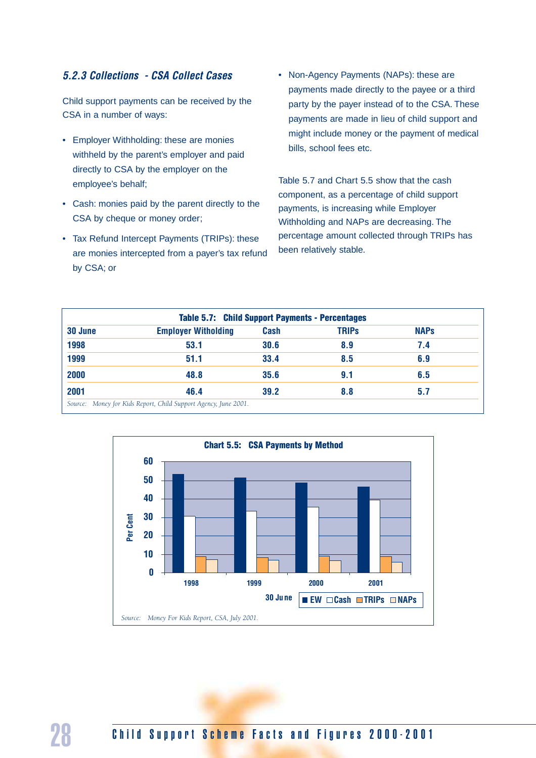#### *5.2.3 Collections - CSA Collect Cases*

Child support payments can be received by the CSA in a number of ways:

- Employer Withholding: these are monies withheld by the parent's employer and paid directly to CSA by the employer on the employee's behalf;
- Cash: monies paid by the parent directly to the CSA by cheque or money order;
- Tax Refund Intercept Payments (TRIPs): these are monies intercepted from a payer's tax refund by CSA; or

• Non-Agency Payments (NAPs): these are payments made directly to the payee or a third party by the payer instead of to the CSA. These payments are made in lieu of child support and might include money or the payment of medical bills, school fees etc.

Table 5.7 and Chart 5.5 show that the cash component, as a percentage of child support payments, is increasing while Employer Withholding and NAPs are decreasing. The percentage amount collected through TRIPs has been relatively stable.

|         | <b>Table 5.7: Child Support Payments - Percentages</b> |      |              |             |
|---------|--------------------------------------------------------|------|--------------|-------------|
| 30 June | <b>Employer Witholding</b>                             | Cash | <b>TRIPS</b> | <b>NAPs</b> |
| 1998    | 53.1                                                   | 30.6 | 8.9          | 7.4         |
| 1999    | 51.1                                                   | 33.4 | 8.5          | 6.9         |
| 2000    | 48.8                                                   | 35.6 | 9.1          | 6.5         |
| 2001    | 46.4                                                   | 39.2 | 8.8          | 5.7         |



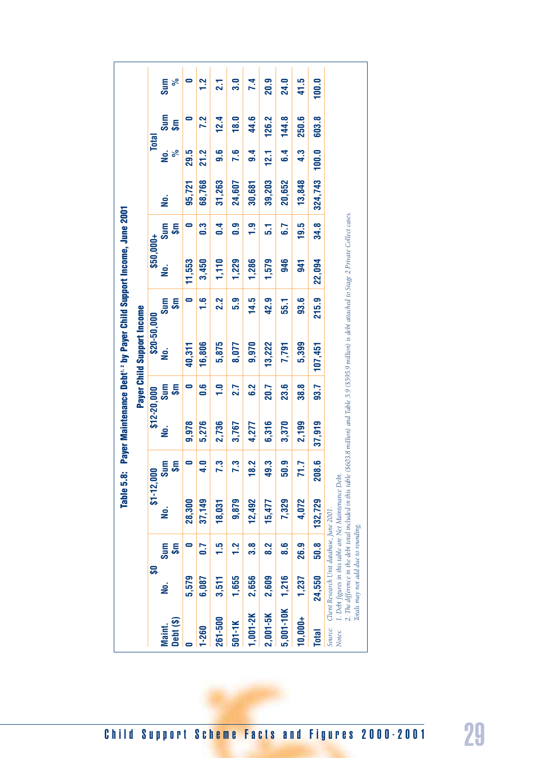|                     |                                                                                  |                 |                                                         |                    |          |                  | Payer Child Support Income                                                                                                                                      |                  |           |                                 |          |             |                                  |       |
|---------------------|----------------------------------------------------------------------------------|-----------------|---------------------------------------------------------|--------------------|----------|------------------|-----------------------------------------------------------------------------------------------------------------------------------------------------------------|------------------|-----------|---------------------------------|----------|-------------|----------------------------------|-------|
|                     | <b>SQ</b>                                                                        |                 | \$1-12,000                                              |                    |          | $$12-20,000$     | \$20-50,000                                                                                                                                                     |                  | \$50,000+ |                                 |          |             | <b>Total</b>                     |       |
| Debt (\$)<br>Maint. | <u>ف</u>                                                                         | <u>န</u><br>Sum | <u>g</u>                                                | Sum<br><b>SE</b>   | <u>ģ</u> | Sum<br><b>SF</b> | <u>ģ</u>                                                                                                                                                        | <b>Sm</b><br>Sum | , о́      | Sum<br><b>Sm</b>                | <u>ş</u> | ್ಲೆ<br>ρ.   | Sum<br>$\overline{\mathfrak{s}}$ |       |
|                     | 5,579                                                                            | 0               | 28,300                                                  | $\bullet$          | 9,978    | $\bullet$        | 40,311                                                                                                                                                          | $\bullet$        | 11,553    | $\bullet$                       | 95,721   | 29.5        | $\bullet$                        |       |
| $1 - 260$           | 6,087                                                                            | 0.7             | 37,149                                                  | 0<br>4             | 5,276    | 9.G              | 16,806                                                                                                                                                          | $\frac{6}{1}$    | 3,450     | <u>ვ</u>                        | 68,768   | <b>21.2</b> | 7.2                              |       |
| 261-500             | 3,511                                                                            | $\frac{5}{1}$   | 18,031                                                  | က<br>N             | 2,736    | $\frac{1}{1}$    | 5,875                                                                                                                                                           | 2.2              | 1,110     | 0.4                             | 31,263   | 9.6         | 12.4                             |       |
| $501 - 1K$          | 1,655                                                                            | 1.2             | 9,879                                                   | က<br>r             | 3,767    | 2.7              | 8,077                                                                                                                                                           | 5.9              | 1,229     | $\overline{0}$ . $\overline{0}$ | 24,607   | 7.6         | 18.0                             |       |
| 1,001-2K            | 2,656                                                                            | 3.8             | 12,492                                                  | 2<br>$\frac{8}{1}$ | 4,277    | 6.2              | 9,970                                                                                                                                                           | 14.5             | 1,286     | 1.9                             | 30,681   | 9.4         | 44.6                             |       |
| 2,001-5K            | 2,609                                                                            | 8.2             | 15,477                                                  | က<br>49.           | 6,316    | 20.7             | 13,222                                                                                                                                                          | 42.9             | 1,579     | 5.1                             | 39,203   | 12.1        | 126.2                            | 20.9  |
| 5,001-10K           | 1,216                                                                            | 8.6             | 7,329                                                   | 9<br>50.           | 3,370    | 23.6             | 7,791                                                                                                                                                           | 55.1             | 946       | 6.7                             | 20,652   | 6.4         | 144.8                            | 24.0  |
| $10,000+$           | 1,237                                                                            | 26.9            | 4,072                                                   | N<br>N             | 2,199    | <b>38.8</b>      | 5,399                                                                                                                                                           | 93.6             | 541       | 19.5                            | 13,848   | 4.3         | 250.6                            | 41.5  |
| <b>Total</b>        | 24,550                                                                           | 50.8            | 132,729                                                 | ဖ<br>208           | 37,919   | 93.7             | 107,451                                                                                                                                                         | 215.9            | 22,094    | 34.8                            | 324,743  | 100.0       | 603.8                            | 100.0 |
| Source:<br>Notes:   | Client Research Unit database, June 2001.<br>Totals may not add due to rounding. |                 | 1. Debt figures in this table are Net Maintenance Debt. |                    |          |                  | 2. The difference in the debt total included in this table (\$603.8 million) and Table 5.9 (\$595.9 million) is debt attached to Stage 2 Private Collect cases. |                  |           |                                 |          |             |                                  |       |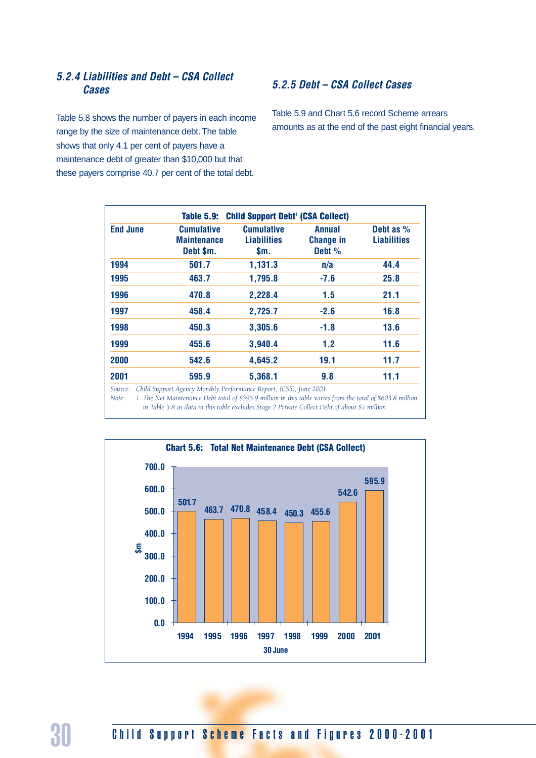#### *5.2.4 Liabilities and Debt – CSA Collect Cases*

Table 5.8 shows the number of payers in each income range by the size of maintenance debt. The table shows that only 4.1 per cent of payers have a maintenance debt of greater than \$10,000 but that these payers comprise 40.7 per cent of the total debt.

#### *5.2.5 Debt – CSA Collect Cases*

Table 5.9 and Chart 5.6 record Scheme arrears amounts as at the end of the past eight financial years.

| <b>End June</b> | <b>Cumulative</b><br><b>Maintenance</b><br>Debt \$m. | <b>Cumulative</b><br><b>Liabilities</b><br>\$m. | <b>Annual</b><br><b>Change in</b><br>Debt % | Debt as $%$<br><b>Liabilities</b> |
|-----------------|------------------------------------------------------|-------------------------------------------------|---------------------------------------------|-----------------------------------|
| 1994            | 501.7                                                | 1,131.3                                         | n/a                                         | 44.4                              |
| 1995            | 463.7                                                | 1,795.8                                         | $-7.6$                                      | 25.8                              |
| 1996            | 470.8                                                | 2,228.4                                         | 1.5                                         | 21.1                              |
| 1997            | 458.4                                                | 2,725.7                                         | $-2.6$                                      | 16.8                              |
| 1998            | 450.3                                                | 3,305.6                                         | $-1.8$                                      | 13.6                              |
| 1999            | 455.6                                                | 3,940.4                                         | 1.2                                         | 11.6                              |
| 2000            | 542.6                                                | 4,645.2                                         | 19.1                                        | 11.7                              |
| 2001            | 595.9                                                | 5,368.1                                         | 9.8                                         | 11.1                              |

*Source: Child Support Agency Monthly Performance Report, (CS5), June 2001.*

*Note: 1. The Net Maintenance Debt total of \$595.9 million in this table varies from the total of \$603.8 million in Table 5.8 as data in this table excludes Stage 2 Private Collect Debt of about \$7 million.*

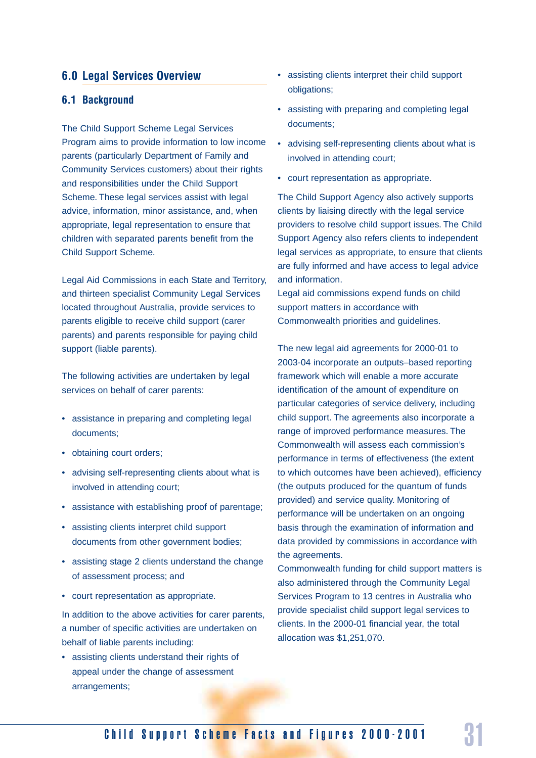#### **6.0 Legal Services Overview**

#### **6.1 Background**

The Child Support Scheme Legal Services Program aims to provide information to low income parents (particularly Department of Family and Community Services customers) about their rights and responsibilities under the Child Support Scheme. These legal services assist with legal advice, information, minor assistance, and, when appropriate, legal representation to ensure that children with separated parents benefit from the Child Support Scheme.

Legal Aid Commissions in each State and Territory, and thirteen specialist Community Legal Services located throughout Australia, provide services to parents eligible to receive child support (carer parents) and parents responsible for paying child support (liable parents).

The following activities are undertaken by legal services on behalf of carer parents:

- assistance in preparing and completing legal documents;
- obtaining court orders;
- advising self-representing clients about what is involved in attending court;
- assistance with establishing proof of parentage;
- assisting clients interpret child support documents from other government bodies;
- assisting stage 2 clients understand the change of assessment process; and
- court representation as appropriate.

In addition to the above activities for carer parents, a number of specific activities are undertaken on behalf of liable parents including:

• assisting clients understand their rights of appeal under the change of assessment arrangements;

- assisting clients interpret their child support obligations;
- assisting with preparing and completing legal documents;
- advising self-representing clients about what is involved in attending court;
- court representation as appropriate.

The Child Support Agency also actively supports clients by liaising directly with the legal service providers to resolve child support issues. The Child Support Agency also refers clients to independent legal services as appropriate, to ensure that clients are fully informed and have access to legal advice and information.

Legal aid commissions expend funds on child support matters in accordance with Commonwealth priorities and guidelines.

The new legal aid agreements for 2000-01 to 2003-04 incorporate an outputs–based reporting framework which will enable a more accurate identification of the amount of expenditure on particular categories of service delivery, including child support. The agreements also incorporate a range of improved performance measures. The Commonwealth will assess each commission's performance in terms of effectiveness (the extent to which outcomes have been achieved), efficiency (the outputs produced for the quantum of funds provided) and service quality. Monitoring of performance will be undertaken on an ongoing basis through the examination of information and data provided by commissions in accordance with the agreements.

Commonwealth funding for child support matters is also administered through the Community Legal Services Program to 13 centres in Australia who provide specialist child support legal services to clients. In the 2000-01 financial year, the total allocation was \$1,251,070.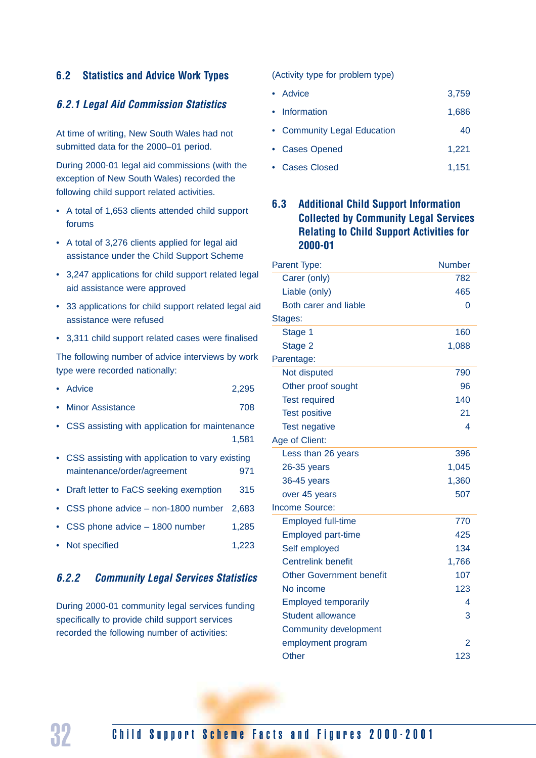#### **6.2 Statistics and Advice Work Types**

#### *6.2.1 Legal Aid Commission Statistics*

At time of writing, New South Wales had not submitted data for the 2000–01 period.

During 2000-01 legal aid commissions (with the exception of New South Wales) recorded the following child support related activities.

- A total of 1,653 clients attended child support forums
- A total of 3,276 clients applied for legal aid assistance under the Child Support Scheme
- 3,247 applications for child support related legal aid assistance were approved
- 33 applications for child support related legal aid assistance were refused
- 3,311 child support related cases were finalised

The following number of advice interviews by work type were recorded nationally:

- Advice 2,295
- Minor Assistance 708
- CSS assisting with application for maintenance 1,581
- CSS assisting with application to vary existing maintenance/order/agreement 971
- Draft letter to FaCS seeking exemption 315
- CSS phone advice non-1800 number 2,683
- CSS phone advice 1800 number 1,285
- Not specified 1,223

#### *6.2.2 Community Legal Services Statistics*

During 2000-01 community legal services funding specifically to provide child support services recorded the following number of activities:

(Activity type for problem type)

- Advice 3,759
- Information 1,686
- Community Legal Education 40
- Cases Opened 1,221
- Cases Closed 1,151

#### **6.3 Additional Child Support Information Collected by Community Legal Services Relating to Child Support Activities for 2000-01**

| Parent Type:                    | <b>Number</b>  |
|---------------------------------|----------------|
| Carer (only)                    | 782            |
| Liable (only)                   | 465            |
| Both carer and liable           | 0              |
| Stages:                         |                |
| Stage 1                         | 160            |
| Stage 2                         | 1,088          |
| Parentage:                      |                |
| Not disputed                    | 790            |
| Other proof sought              | 96             |
| <b>Test required</b>            | 140            |
| <b>Test positive</b>            | 21             |
| <b>Test negative</b>            | 4              |
| Age of Client:                  |                |
| Less than 26 years              | 396            |
| 26-35 years                     | 1,045          |
| 36-45 years                     | 1,360          |
| over 45 years                   | 507            |
| <b>Income Source:</b>           |                |
| <b>Employed full-time</b>       | 770            |
| <b>Employed part-time</b>       | 425            |
| Self employed                   | 134            |
| <b>Centrelink benefit</b>       | 1,766          |
| <b>Other Government benefit</b> | 107            |
| No income                       | 123            |
| <b>Employed temporarily</b>     | 4              |
| <b>Student allowance</b>        | 3              |
| Community development           |                |
| employment program              | $\overline{2}$ |
| Other                           | 123            |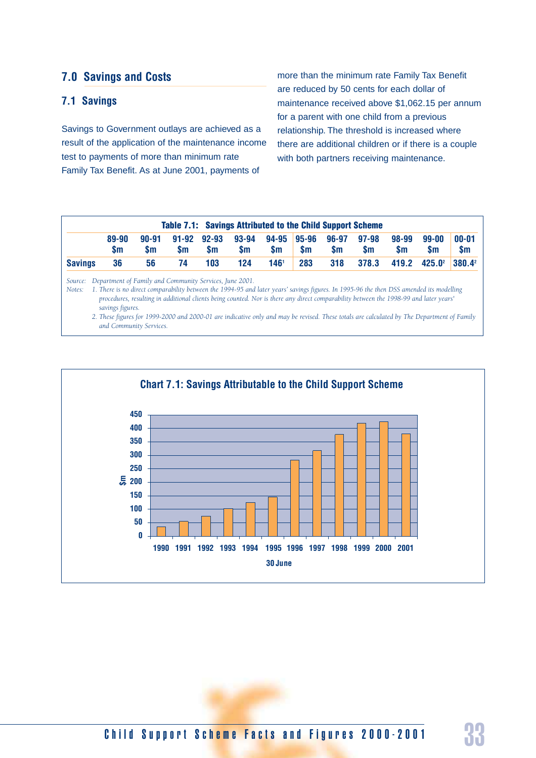#### **7.0 Savings and Costs**

#### **7.1 Savings**

Savings to Government outlays are achieved as a result of the application of the maintenance income test to payments of more than minimum rate Family Tax Benefit. As at June 2001, payments of

more than the minimum rate Family Tax Benefit are reduced by 50 cents for each dollar of maintenance received above \$1,062.15 per annum for a parent with one child from a previous relationship. The threshold is increased where there are additional children or if there is a couple with both partners receiving maintenance.

|                |                    |              |           |                          | <b>Table 7.1: Savings Attributed to the Child Support Scheme</b> |                  |     |               |           |                    |              |                        |
|----------------|--------------------|--------------|-----------|--------------------------|------------------------------------------------------------------|------------------|-----|---------------|-----------|--------------------|--------------|------------------------|
|                | 89-90<br><b>Sm</b> | 90-91<br>Sm. | <b>Sm</b> | 91-92 92-93<br><b>Sm</b> | 93-94 94-95 95-96 96-97 97-98<br><b>Sm</b>                       | \$m              | \$m | $\mathsf{sm}$ | <b>Sm</b> | 98-99<br><b>Sm</b> | 99-00<br>\$m | $00 - 01$<br><b>Sm</b> |
| <b>Savings</b> | 36                 | 56           | 74        | 103                      | 124                                                              | 146 <sup>1</sup> | 283 | 318           | 378.3     | 419.2              | $425.0^2$    | $380.4^2$              |

*Source: Department of Family and Community Services, June 2001.*

*Notes: 1. There is no direct comparability between the 1994-95 and later years' savings figures. In 1995-96 the then DSS amended its modelling procedures, resulting in additional clients being counted. Nor is there any direct comparability between the 1998-99 and later years' savings figures.*

*2. These figures for 1999-2000 and 2000-01 are indicative only and may be revised. These totals are calculated by The Department of Family and Community Services.*

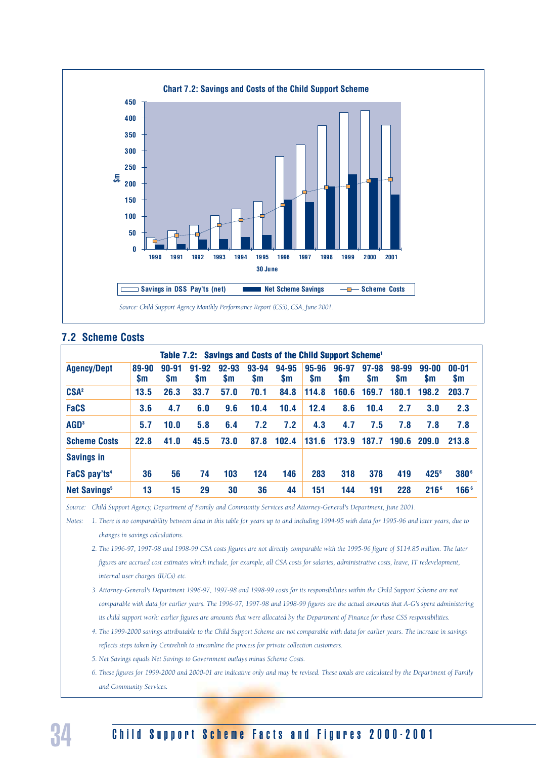

#### **7.2 Scheme Costs**

|                                |                    |                        |                        |                        |                    | Table 7.2: Savings and Costs of the Child Support Scheme <sup>1</sup> |                    |                    |                        |                    |                        |                        |
|--------------------------------|--------------------|------------------------|------------------------|------------------------|--------------------|-----------------------------------------------------------------------|--------------------|--------------------|------------------------|--------------------|------------------------|------------------------|
| <b>Agency/Dept</b>             | 89-90<br><b>Sm</b> | $90 - 91$<br><b>Sm</b> | $91 - 92$<br><b>Sm</b> | $92 - 93$<br><b>Sm</b> | 93-94<br><b>Sm</b> | 94-95<br><b>Sm</b>                                                    | 95-96<br><b>Sm</b> | 96-97<br><b>Sm</b> | $97 - 98$<br><b>Sm</b> | 98-99<br><b>Sm</b> | $99 - 00$<br><b>Sm</b> | $00 - 01$<br><b>Sm</b> |
| CSA <sup>2</sup>               | 13.5               | 26.3                   | 33.7                   | 57.0                   | 70.1               | 84.8                                                                  | 114.8              | 160.6              | 169.7                  | 180.1              | 198.2                  | 203.7                  |
| <b>FaCS</b>                    | 3.6                | 4.7                    | 6.0                    | 9.6                    | 10.4               | 10.4                                                                  | 12.4               | 8.6                | 10.4                   | 2.7                | 3.0                    | 2.3                    |
| AGD <sup>3</sup>               | 5.7                | 10.0                   | 5.8                    | 6.4                    | 7.2                | 7.2                                                                   | 4.3                | 4.7                | 7.5                    | 7.8                | 7.8                    | 7.8                    |
| <b>Scheme Costs</b>            | 22.8               | 41.0                   | 45.5                   | 73.0                   | 87.8               | 102.4                                                                 | 131.6              | 173.9              | 187.7                  | 190.6              | 209.0                  | 213.8                  |
| <b>Savings in</b>              |                    |                        |                        |                        |                    |                                                                       |                    |                    |                        |                    |                        |                        |
| FaCS pay'ts <sup>4</sup>       | 36                 | 56                     | 74                     | 103                    | 124                | 146                                                                   | 283                | 318                | 378                    | 419                | $425^{\circ}$          | 380 <sup>6</sup>       |
| <b>Net Savings<sup>5</sup></b> | 13                 | 15                     | 29                     | 30                     | 36                 | 44                                                                    | 151                | 144                | 191                    | 228                | 216 <sup>6</sup>       | 166 <sup>6</sup>       |

*Source: Child Support Agency, Department of Family and Community Services and Attorney-General's Department, June 2001.*

*Notes: 1. There is no comparability between data in this table for years up to and including 1994-95 with data for 1995-96 and later years, due to changes in savings calculations.*

- *2. The 1996-97, 1997-98 and 1998-99 CSA costs figures are not directly comparable with the 1995-96 figure of \$114.85 million. The later figures are accrued cost estimates which include, for example, all CSA costs for salaries, administrative costs, leave, IT redevelopment, internal user charges (IUCs) etc.*
- *3. Attorney-General's Department 1996-97, 1997-98 and 1998-99 costs for its responsibilities within the Child Support Scheme are not comparable with data for earlier years. The 1996-97, 1997-98 and 1998-99 figures are the actual amounts that A-G's spent administering its child support work: earlier figures are amounts that were allocated by the Department of Finance for those CSS responsibilities.*
- *4. The 1999-2000 savings attributable to the Child Support Scheme are not comparable with data for earlier years. The increase in savings reflects steps taken by Centrelink to streamline the process for private collection customers.*
- *5. Net Savings equals Net Savings to Government outlays minus Scheme Costs.*
- *6. These figures for 1999-2000 and 2000-01 are indicative only and may be revised. These totals are calculated by the Department of Family and Community Services.*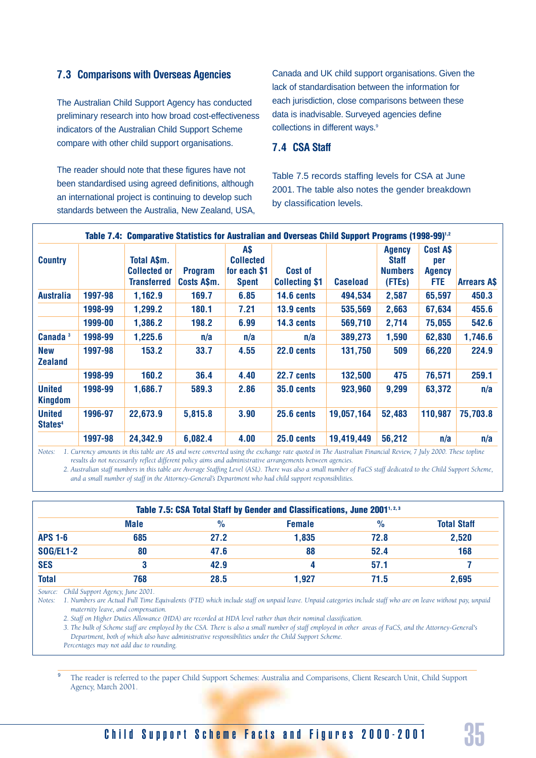#### **7.3 Comparisons with Overseas Agencies**

The Australian Child Support Agency has conducted preliminary research into how broad cost-effectiveness indicators of the Australian Child Support Scheme compare with other child support organisations.

The reader should note that these figures have not been standardised using agreed definitions, although an international project is continuing to develop such standards between the Australia, New Zealand, USA, Canada and UK child support organisations. Given the lack of standardisation between the information for each jurisdiction, close comparisons between these data is inadvisable. Surveyed agencies define collections in different ways.<sup>9</sup>

#### **7.4 CSA Staff**

Table 7.5 records staffing levels for CSA at June 2001. The table also notes the gender breakdown by classification levels.

|                                      |         |                                                          |                               |                                                               | Table 7.4: Comparative Statistics for Australian and Overseas Child Support Programs (1998-99) <sup>1,2</sup> |                 |                                                           |                                         |                   |
|--------------------------------------|---------|----------------------------------------------------------|-------------------------------|---------------------------------------------------------------|---------------------------------------------------------------------------------------------------------------|-----------------|-----------------------------------------------------------|-----------------------------------------|-------------------|
| <b>Country</b>                       |         | Total A\$m.<br><b>Collected or</b><br><b>Transferred</b> | <b>Program</b><br>Costs A\$m. | <b>AS</b><br><b>Collected</b><br>for each \$1<br><b>Spent</b> | <b>Cost of</b><br><b>Collecting \$1</b>                                                                       | <b>Caseload</b> | <b>Agency</b><br><b>Staff</b><br><b>Numbers</b><br>(FTEs) | Cost A\$<br>per<br><b>Agency</b><br>FTE | <b>Arrears AS</b> |
| <b>Australia</b>                     | 1997-98 | 1,162.9                                                  | 169.7                         | 6.85                                                          | 14.6 cents                                                                                                    | 494,534         | 2,587                                                     | 65,597                                  | 450.3             |
|                                      | 1998-99 | 1,299.2                                                  | 180.1                         | 7.21                                                          | $13.9$ cents                                                                                                  | 535,569         | 2,663                                                     | 67,634                                  | 455.6             |
|                                      | 1999-00 | 1,386.2                                                  | 198.2                         | 6.99                                                          | 14.3 cents                                                                                                    | 569,710         | 2,714                                                     | 75,055                                  | 542.6             |
| Canada <sup>3</sup>                  | 1998-99 | 1,225.6                                                  | n/a                           | n/a                                                           | n/a                                                                                                           | 389,273         | 1,590                                                     | 62,830                                  | 1,746.6           |
| <b>New</b><br><b>Zealand</b>         | 1997-98 | 153.2                                                    | 33.7                          | 4.55                                                          | 22.0 cents                                                                                                    | 131,750         | 509                                                       | 66,220                                  | 224.9             |
|                                      | 1998-99 | 160.2                                                    | 36.4                          | 4.40                                                          | 22.7 cents                                                                                                    | 132,500         | 475                                                       | 76,571                                  | 259.1             |
| <b>United</b><br>Kingdom             | 1998-99 | 1,686.7                                                  | 589.3                         | 2.86                                                          | $35.0$ cents                                                                                                  | 923,960         | 9,299                                                     | 63,372                                  | n/a               |
| <b>United</b><br>States <sup>4</sup> | 1996-97 | 22,673.9                                                 | 5,815.8                       | 3.90                                                          | <b>25.6 cents</b>                                                                                             | 19,057,164      | 52,483                                                    | 110,987                                 | 75,703.8          |
|                                      | 1997-98 | 24,342.9                                                 | 6,082.4                       | 4.00                                                          | $25.0$ cents                                                                                                  | 19,419,449      | 56,212                                                    | n/a                                     | n/a               |

*Notes: 1. Currency amounts in this table are A\$ and were converted using the exchange rate quoted in The Australian Financial Review, 7 July 2000. These topline results do not necessarily reflect different policy aims and administrative arrangements between agencies.*

*2. Australian staff numbers in this table are Average Staffing Level (ASL). There was also a small number of FaCS staff dedicated to the Child Support Scheme, and a small number of staff in the Attorney-General's Department who had child support responsibilities.* 

|                  |             |      | Table 7.5: CSA Total Staff by Gender and Classifications, June 2001 <sup>1, 2, 3</sup> |               |                    |
|------------------|-------------|------|----------------------------------------------------------------------------------------|---------------|--------------------|
|                  | <b>Male</b> | $\%$ | <b>Female</b>                                                                          | $\frac{0}{0}$ | <b>Total Staff</b> |
| <b>APS 1-6</b>   | 685         | 27.2 | 1,835                                                                                  | 72.8          | 2,520              |
| <b>SOG/EL1-2</b> | 80          | 47.6 | 88                                                                                     | 52.4          | 168                |
| <b>SES</b>       |             | 42.9 |                                                                                        | 57.1          |                    |
| <b>Total</b>     | 768         | 28.5 | 1,927                                                                                  | 71.5          | 2,695              |

*Source: Child Support Agency, June 2001.*

*Notes: 1. Numbers are Actual Full Time Equivalents (FTE) which include staff on unpaid leave. Unpaid categories include staff who are on leave without pay, unpaid maternity leave, and compensation.*

*2. Staff on Higher Duties Allowance (HDA) are recorded at HDA level rather than their nominal classification.*

*3. The bulk of Scheme staff are employed by the CSA. There is also a small number of staff employed in other areas of FaCS, and the Attorney-General's Department, both of which also have administrative responsibilities under the Child Support Scheme.*

*Percentages may not add due to rounding.*

<sup>9</sup> The reader is referred to the paper Child Support Schemes: Australia and Comparisons, Client Research Unit, Child Support Agency, March 2001.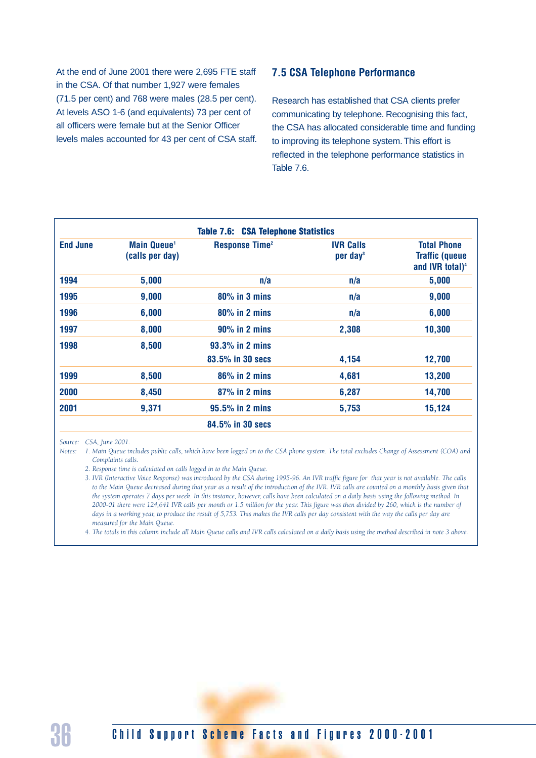At the end of June 2001 there were 2,695 FTE staff in the CSA. Of that number 1,927 were females (71.5 per cent) and 768 were males (28.5 per cent). At levels ASO 1-6 (and equivalents) 73 per cent of all officers were female but at the Senior Officer levels males accounted for 43 per cent of CSA staff.

#### **7.5 CSA Telephone Performance**

Research has established that CSA clients prefer communicating by telephone. Recognising this fact, the CSA has allocated considerable time and funding to improving its telephone system. This effort is reflected in the telephone performance statistics in Table 7.6.

| <b>End June</b> | <b>Main Queue</b> <sup>1</sup><br>(calls per day) | <b>Response Time<sup>2</sup></b> | <b>IVR Calls</b><br>per day <sup>3</sup> | <b>Total Phone</b><br><b>Traffic (queue</b><br>and IVR total) <sup>4</sup> |
|-----------------|---------------------------------------------------|----------------------------------|------------------------------------------|----------------------------------------------------------------------------|
| 1994            | 5,000                                             | n/a                              | n/a                                      | 5,000                                                                      |
| 1995            | 9,000                                             | $80\%$ in 3 mins                 | n/a                                      | 9,000                                                                      |
| 1996            | 6,000                                             | $80\%$ in 2 mins                 | n/a                                      | 6,000                                                                      |
| 1997            | 8,000                                             | $90\%$ in 2 mins                 | 2,308                                    | 10,300                                                                     |
| 1998            | 8,500                                             | $93.3\%$ in 2 mins               |                                          |                                                                            |
|                 |                                                   | 83.5% in 30 secs                 | 4,154                                    | 12,700                                                                     |
| 1999            | 8,500                                             | $86\%$ in 2 mins                 | 4,681                                    | 13,200                                                                     |
| 2000            | 8,450                                             | 87% in 2 mins                    | 6,287                                    | 14,700                                                                     |
| 2001            | 9,371                                             | 95.5% in 2 mins                  | 5,753                                    | 15,124                                                                     |
|                 |                                                   | 84.5% in 30 secs                 |                                          |                                                                            |

*Source: CSA, June 2001.*

*Notes: 1. Main Queue includes public calls, which have been logged on to the CSA phone system. The total excludes Change of Assessment (COA) and Complaints calls.*

*2. Response time is calculated on calls logged in to the Main Queue.*

*3. IVR (Interactive Voice Response) was introduced by the CSA during 1995-96. An IVR traffic figure for that year is not available. The calls to the Main Queue decreased during that year as a result of the introduction of the IVR. IVR calls are counted on a monthly basis given that* the system operates 7 days per week. In this instance, however, calls have been calculated on a daily basis using the following method. In *2000-01 there were 124,641 IVR calls per month or 1.5 million for the year. This figure was then divided by 260, which is the number of days in a working year, to produce the result of 5,753. This makes the IVR calls per day consistent with the way the calls per day are measured for the Main Queue.*

*4. The totals in this column include all Main Queue calls and IVR calls calculated on a daily basis using the method described in note 3 above.*

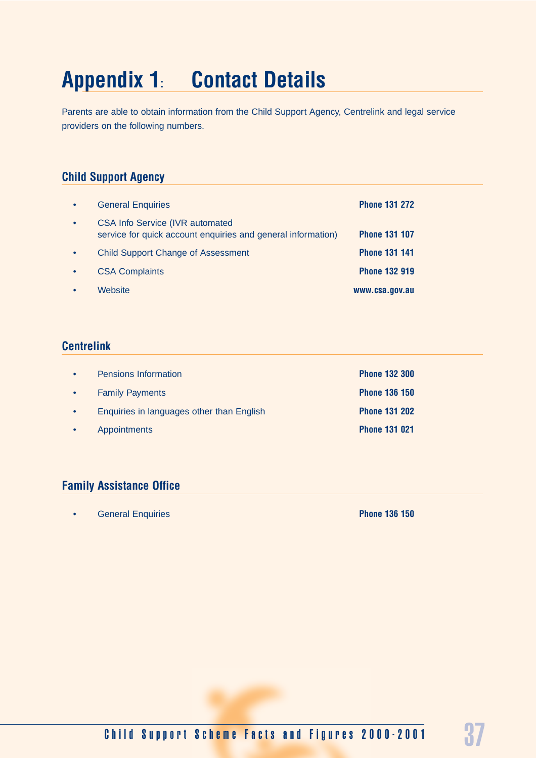## **Appendix 1: Contact Details**

Parents are able to obtain information from the Child Support Agency, Centrelink and legal service providers on the following numbers.

#### **Child Support Agency**

| $\bullet$ | <b>General Enquiries</b>                                                                                | <b>Phone 131 272</b> |
|-----------|---------------------------------------------------------------------------------------------------------|----------------------|
| $\bullet$ | <b>CSA Info Service (IVR automated)</b><br>service for quick account enquiries and general information) | <b>Phone 131 107</b> |
| $\bullet$ | <b>Child Support Change of Assessment</b>                                                               | <b>Phone 131 141</b> |
| $\bullet$ | <b>CSA Complaints</b>                                                                                   | <b>Phone 132 919</b> |
|           | Website                                                                                                 | www.csa.gov.au       |

#### **Centrelink**

| $\bullet$ | <b>Pensions Information</b>               | <b>Phone 132 300</b> |
|-----------|-------------------------------------------|----------------------|
| $\bullet$ | <b>Family Payments</b>                    | <b>Phone 136 150</b> |
| $\bullet$ | Enquiries in languages other than English | <b>Phone 131 202</b> |
| $\bullet$ | <b>Appointments</b>                       | <b>Phone 131 021</b> |

#### **Family Assistance Office**

• General Enquiries **Phone 136 150**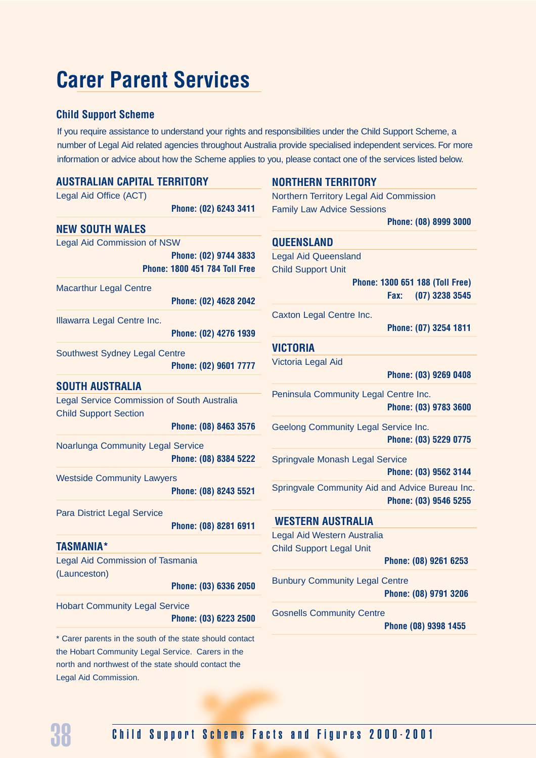## **Carer Parent Services**

#### **Child Support Scheme**

If you require assistance to understand your rights and responsibilities under the Child Support Scheme, a number of Legal Aid related agencies throughout Australia provide specialised independent services. For more information or advice about how the Scheme applies to you, please contact one of the services listed below.

| <b>AUSTRALIAN CAPITAL TERRITORY</b>                      |                                      | <b>NORTHERN TERRITORY</b>                       |                                 |
|----------------------------------------------------------|--------------------------------------|-------------------------------------------------|---------------------------------|
| Legal Aid Office (ACT)                                   |                                      | Northern Territory Legal Aid Commission         |                                 |
|                                                          | Phone: (02) 6243 3411                | <b>Family Law Advice Sessions</b>               |                                 |
| <b>NEW SOUTH WALES</b>                                   |                                      |                                                 | Phone: (08) 8999 3000           |
| <b>Legal Aid Commission of NSW</b>                       |                                      | <b>QUEENSLAND</b>                               |                                 |
|                                                          | Phone: (02) 9744 3833                | <b>Legal Aid Queensland</b>                     |                                 |
|                                                          | <b>Phone: 1800 451 784 Toll Free</b> | <b>Child Support Unit</b>                       |                                 |
| <b>Macarthur Legal Centre</b>                            |                                      |                                                 | Phone: 1300 651 188 (Toll Free) |
|                                                          | Phone: (02) 4628 2042                |                                                 | $(07)$ 3238 3545<br>Fax:        |
| Illawarra Legal Centre Inc.                              |                                      | Caxton Legal Centre Inc.                        |                                 |
|                                                          | Phone: (02) 4276 1939                |                                                 | Phone: (07) 3254 1811           |
|                                                          |                                      | <b>VICTORIA</b>                                 |                                 |
| Southwest Sydney Legal Centre                            | Phone: (02) 9601 7777                | Victoria Legal Aid                              |                                 |
|                                                          |                                      |                                                 | Phone: (03) 9269 0408           |
| <b>SOUTH AUSTRALIA</b>                                   |                                      | Peninsula Community Legal Centre Inc.           |                                 |
| Legal Service Commission of South Australia              |                                      |                                                 | Phone: (03) 9783 3600           |
| <b>Child Support Section</b>                             | Phone: (08) 8463 3576                |                                                 |                                 |
|                                                          |                                      | Geelong Community Legal Service Inc.            | Phone: (03) 5229 0775           |
| <b>Noarlunga Community Legal Service</b>                 |                                      |                                                 |                                 |
|                                                          | Phone: (08) 8384 5222                | Springvale Monash Legal Service                 |                                 |
| <b>Westside Community Lawyers</b>                        |                                      |                                                 | Phone: (03) 9562 3144           |
|                                                          | Phone: (08) 8243 5521                | Springvale Community Aid and Advice Bureau Inc. |                                 |
| <b>Para District Legal Service</b>                       |                                      |                                                 | Phone: (03) 9546 5255           |
|                                                          | Phone: (08) 8281 6911                | <b>WESTERN AUSTRALIA</b>                        |                                 |
|                                                          |                                      | Legal Aid Western Australia                     |                                 |
| <b>TASMANIA*</b>                                         |                                      | <b>Child Support Legal Unit</b>                 |                                 |
| <b>Legal Aid Commission of Tasmania</b><br>(Launceston)  |                                      |                                                 | Phone: (08) 9261 6253           |
|                                                          | Phone: (03) 6336 2050                | <b>Bunbury Community Legal Centre</b>           |                                 |
|                                                          |                                      |                                                 | Phone: (08) 9791 3206           |
| <b>Hobart Community Legal Service</b>                    |                                      | <b>Gosnells Community Centre</b>                |                                 |
|                                                          | Phone: (03) 6223 2500                |                                                 | Phone (08) 9398 1455            |
| * Carer parents in the south of the state should contact |                                      |                                                 |                                 |
| the Hobart Community Legal Service. Carers in the        |                                      |                                                 |                                 |
| north and northwest of the state should contact the      |                                      |                                                 |                                 |

Legal Aid Commission.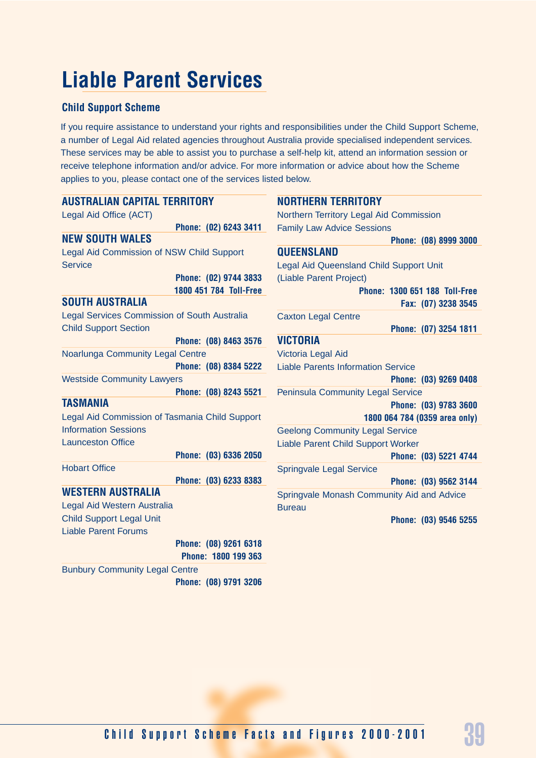## **Liable Parent Services**

#### **Child Support Scheme**

If you require assistance to understand your rights and responsibilities under the Child Support Scheme, a number of Legal Aid related agencies throughout Australia provide specialised independent services. These services may be able to assist you to purchase a self-help kit, attend an information session or receive telephone information and/or advice. For more information or advice about how the Scheme applies to you, please contact one of the services listed below.

| <b>AUSTRALIAN CAPITAL TERRITORY</b>                 | <b>NORTHERN TERRITORY</b>                      |
|-----------------------------------------------------|------------------------------------------------|
| Legal Aid Office (ACT)                              | Northern Territory Legal Aid Commission        |
| Phone: (02) 6243 3411                               | <b>Family Law Advice Sessions</b>              |
| <b>NEW SOUTH WALES</b>                              | Phone: (08) 8999 3000                          |
| Legal Aid Commission of NSW Child Support           | <b>QUEENSLAND</b>                              |
| <b>Service</b>                                      | <b>Legal Aid Queensland Child Support Unit</b> |
| Phone: (02) 9744 3833                               | (Liable Parent Project)                        |
| 1800 451 784 Toll-Free                              | Phone: 1300 651 188 Toll-Free                  |
| <b>SOUTH AUSTRALIA</b>                              | Fax: (07) 3238 3545                            |
| <b>Legal Services Commission of South Australia</b> | <b>Caxton Legal Centre</b>                     |
| <b>Child Support Section</b>                        | Phone: (07) 3254 1811                          |
| Phone: (08) 8463 3576                               | <b>VICTORIA</b>                                |
| Noarlunga Community Legal Centre                    | Victoria Legal Aid                             |
| Phone: (08) 8384 5222                               | <b>Liable Parents Information Service</b>      |
| <b>Westside Community Lawyers</b>                   | Phone: (03) 9269 0408                          |
| Phone: (08) 8243 5521                               | <b>Peninsula Community Legal Service</b>       |
| <b>TASMANIA</b>                                     | Phone: (03) 9783 3600                          |
| Legal Aid Commission of Tasmania Child Support      | 1800 064 784 (0359 area only)                  |
| <b>Information Sessions</b>                         | <b>Geelong Community Legal Service</b>         |
| <b>Launceston Office</b>                            | Liable Parent Child Support Worker             |
| Phone: (03) 6336 2050                               | Phone: (03) 5221 4744                          |
| <b>Hobart Office</b>                                | <b>Springvale Legal Service</b>                |
| Phone: (03) 6233 8383                               | Phone: (03) 9562 3144                          |
| <b>WESTERN AUSTRALIA</b>                            | Springvale Monash Community Aid and Advice     |
| Legal Aid Western Australia                         | <b>Bureau</b>                                  |
| <b>Child Support Legal Unit</b>                     | Phone: (03) 9546 5255                          |
| <b>Liable Parent Forums</b>                         |                                                |
| Phone: (08) 9261 6318<br>Phone: 1800 199 363        |                                                |
| <b>Bunbury Community Legal Centre</b>               |                                                |
| Phone: (08) 9791 3206                               |                                                |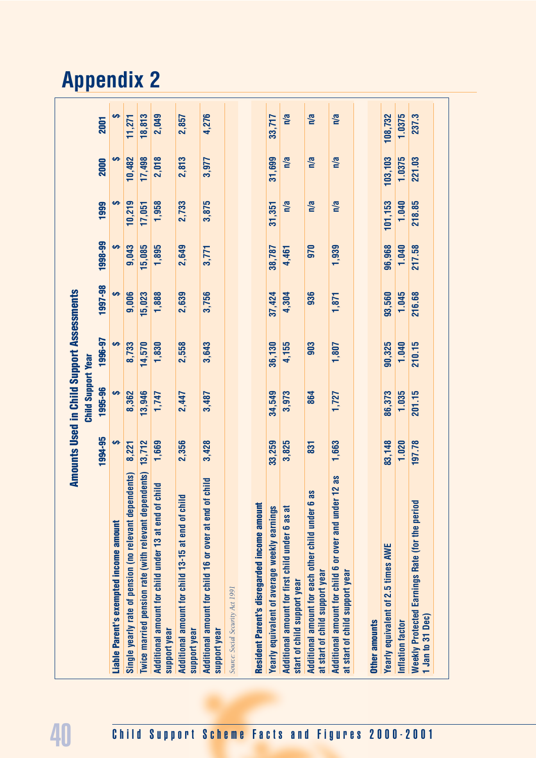|                                                                                              |         | <b>Child Support Year</b> |         |         |         |         |         |         |
|----------------------------------------------------------------------------------------------|---------|---------------------------|---------|---------|---------|---------|---------|---------|
|                                                                                              | 1994-95 | 1995-96                   | 1996-97 | 1997-98 | 1998-99 | 1999    | 2000    | 2001    |
| Liable Parent's exempted income amount                                                       | မာ      | မာ                        | မာ      | မာ      | မာ      |         | မာ      |         |
| Single yearly rate of pension (no relevant dependents)                                       | 8,221   | 8,362                     | 8,733   | 9,006   | 9,043   | 10,219  | 10,482  | 11,271  |
| Twice married pension rate (with relevant dependents)                                        | 13,712  | 13,946                    | 14,570  | 15,023  | 15,085  | 17,051  | 17,498  | 18,813  |
| Additional amount for child under 13 at end of child<br>support year                         | 1,669   | 1,747                     | 1,830   | 1,888   | 1,895   | 1,958   | 2,018   | 2,049   |
| Additional amount for child 13-15 at end of child<br>support year                            | 2,356   | 2,447                     | 2,558   | 2,639   | 2,649   | 2,733   | 2,813   | 2,857   |
| child<br>Additional amount for child 16 or over at end of<br>support year                    | 3,428   | 3,487                     | 3,643   | 3,756   | 3,771   | 3,875   | 3,977   | 4,276   |
| Source: Social Security Act 1991                                                             |         |                           |         |         |         |         |         |         |
| Resident Parent's disregarded income amount                                                  |         |                           |         |         |         |         |         |         |
| Yearly equivalent of average weekly earnings                                                 | 33,259  | 34,549                    | 36,130  | 37,424  | 38,787  | 31,351  | 31,699  | 33,717  |
| Additional amount for first child under 6 as at<br>start of child support year               | 3,825   | 3,973                     | 4,155   | 4,304   | 4,461   | n/a     | n/a     | n/a     |
| SB<br>Additional amount for each other child under 6<br>at start of child support year       | 831     | 864                       | 903     | 936     | 970     | n/a     | n/a     | n/a     |
| $12$ as<br>Additional amount for child 6 or over and under<br>at start of child support year | 1,663   | 1,727                     | 1,807   | 1,871   | 1,939   | n/a     | n/a     | n/a     |
| Other amounts                                                                                |         |                           |         |         |         |         |         |         |
| Yearly equivalent of 2.5 times AWE                                                           | 83,148  | 86,373                    | 90,325  | 93,560  | 96,968  | 101,153 | 103,103 | 108,732 |
| Inflation factor                                                                             | 1.020   | 1.035                     | 1.040   | 1.045   | 1.040   | 1.040   | 1.0375  | 1.0375  |
| <b>Weekly Protected Earnings Rate (for the period</b><br>1 Jan to 31 Dec)                    | 197.78  | 201.15                    | 210.15  | 216.68  | 217.58  | 218.85  | 221.03  | 237.3   |